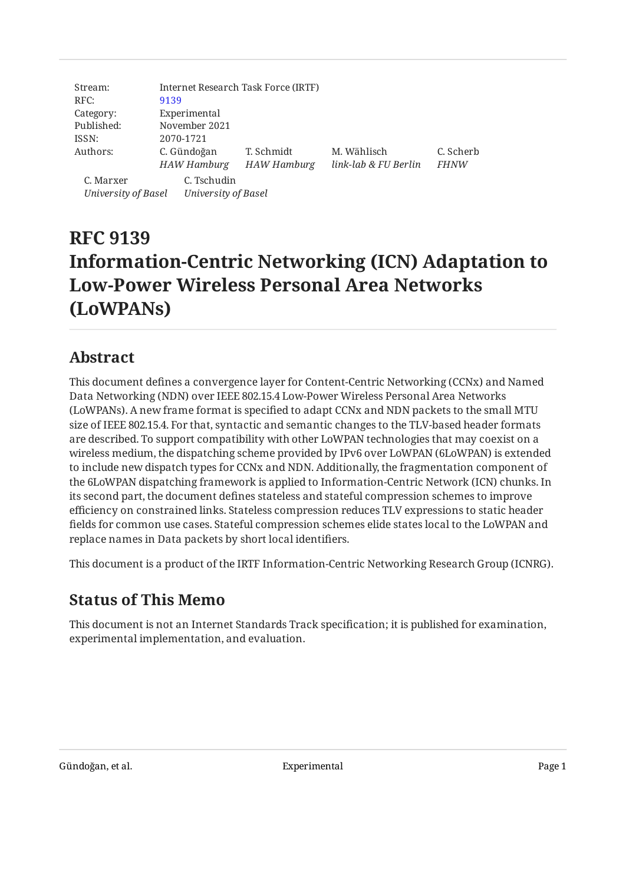| Stream:<br>RFC:     | Internet Research Task Force (IRTF)<br>9139 |                     |                      |             |  |  |  |  |  |  |
|---------------------|---------------------------------------------|---------------------|----------------------|-------------|--|--|--|--|--|--|
| Category:           | Experimental                                |                     |                      |             |  |  |  |  |  |  |
| Published:          | November 2021                               |                     |                      |             |  |  |  |  |  |  |
| ISSN:               | 2070-1721                                   |                     |                      |             |  |  |  |  |  |  |
| Authors:            | C. Gündoğan                                 | T. Schmidt          | M. Wählisch          | C. Scherb   |  |  |  |  |  |  |
|                     | <b>HAW Hamburg</b>                          | <b>HAW Hamburg</b>  | link-lab & FU Berlin | <b>FHNW</b> |  |  |  |  |  |  |
| C. Marxer           | C. Tschudin                                 |                     |                      |             |  |  |  |  |  |  |
| University of Basel |                                             | University of Basel |                      |             |  |  |  |  |  |  |

# **RFC 9139 Information-Centric Networking (ICN) Adaptation to Low-Power Wireless Personal Area Networks (LoWPANs)**

## <span id="page-0-0"></span>**[Abstract](#page-0-0)**

This document defines a convergence layer for Content-Centric Networking (CCNx) and Named Data Networking (NDN) over IEEE 802.15.4 Low-Power Wireless Personal Area Networks (LoWPANs). A new frame format is specified to adapt CCNx and NDN packets to the small MTU size of IEEE 802.15.4. For that, syntactic and semantic changes to the TLV-based header formats are described. To support compatibility with other LoWPAN technologies that may coexist on a wireless medium, the dispatching scheme provided by IPv6 over LoWPAN (6LoWPAN) is extended to include new dispatch types for CCNx and NDN. Additionally, the fragmentation component of the 6LoWPAN dispatching framework is applied to Information-Centric Network (ICN) chunks. In its second part, the document defines stateless and stateful compression schemes to improve efficiency on constrained links. Stateless compression reduces TLV expressions to static header fields for common use cases. Stateful compression schemes elide states local to the LoWPAN and replace names in Data packets by short local identifiers.

<span id="page-0-1"></span>This document is a product of the IRTF Information-Centric Networking Research Group (ICNRG).

# **[Status of This Memo](#page-0-1)**

This document is not an Internet Standards Track specification; it is published for examination, experimental implementation, and evaluation.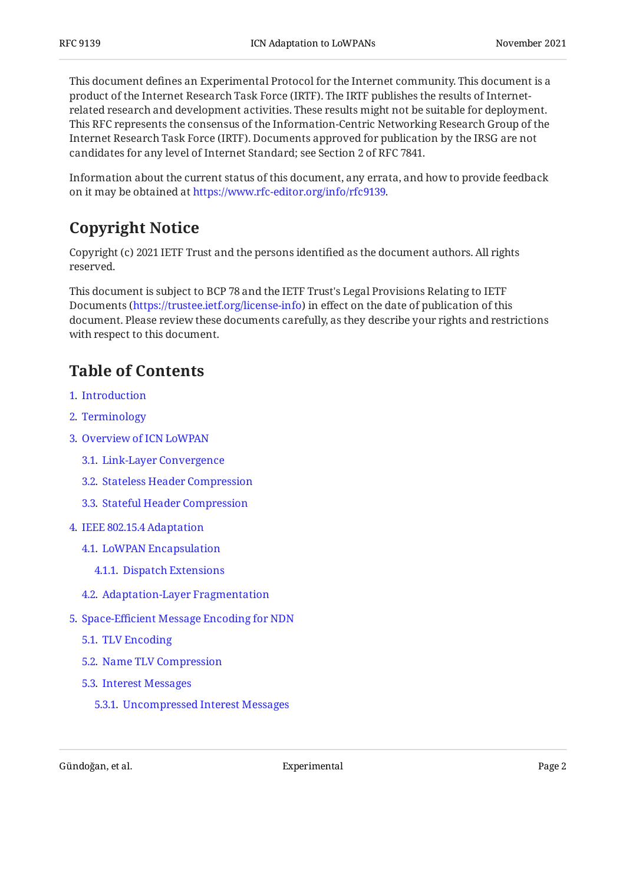This document defines an Experimental Protocol for the Internet community. This document is a product of the Internet Research Task Force (IRTF). The IRTF publishes the results of Internetrelated research and development activities. These results might not be suitable for deployment. This RFC represents the consensus of the Information-Centric Networking Research Group of the Internet Research Task Force (IRTF). Documents approved for publication by the IRSG are not candidates for any level of Internet Standard; see Section 2 of RFC 7841.

<span id="page-1-0"></span>Information about the current status of this document, any errata, and how to provide feedback on it may be obtained at [https://www.rfc-editor.org/info/rfc9139.](https://www.rfc-editor.org/info/rfc9139)

# **[Copyright Notice](#page-1-0)**

Copyright (c) 2021 IETF Trust and the persons identified as the document authors. All rights reserved.

This document is subject to BCP 78 and the IETF Trust's Legal Provisions Relating to IETF Documents (<https://trustee.ietf.org/license-info>) in effect on the date of publication of this document. Please review these documents carefully, as they describe your rights and restrictions with respect to this document.

## <span id="page-1-1"></span>**[Table of Contents](#page-1-1)**

- [1](#page-3-0). [Introduction](#page-3-0)
- [2](#page-5-0). [Terminology](#page-5-0)
- [3](#page-5-1). [Overview of ICN LoWPAN](#page-5-1)
	- [3.1.](#page-5-2) [Link-Layer Convergence](#page-5-2)
	- [3.2.](#page-6-0) [Stateless Header Compression](#page-6-0)
	- [3.3.](#page-7-0) [Stateful Header Compression](#page-7-0)
- [4](#page-7-1). [IEEE 802.15.4 Adaptation](#page-7-1)
	- [4.1.](#page-7-2) [LoWPAN Encapsulation](#page-7-2)
		- [4.1.1](#page-9-0). [Dispatch Extensions](#page-9-0)
	- [4.2.](#page-9-1) [Adaptation-Layer Fragmentation](#page-9-1)
- [5](#page-10-0). Space-Effi[cient Message Encoding for NDN](#page-10-0)
	- [5.1.](#page-10-1) [TLV Encoding](#page-10-1)
	- [5.2.](#page-12-0) [Name TLV Compression](#page-12-0)
	- [5.3.](#page-12-1) [Interest Messages](#page-12-1)
		- [5.3.1](#page-12-2). [Uncompressed Interest Messages](#page-12-2)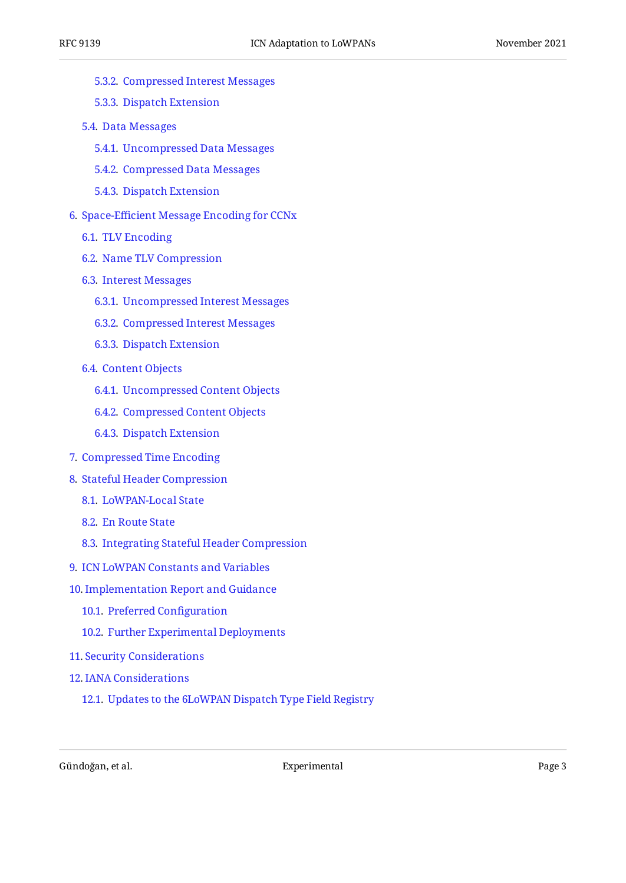- [5.3.2](#page-12-3). [Compressed Interest Messages](#page-12-3)
- [5.3.3](#page-15-0). [Dispatch Extension](#page-15-0)
- [5.4.](#page-15-1) [Data Messages](#page-15-1)
	- [5.4.1](#page-15-2). [Uncompressed Data Messages](#page-15-2)
	- [5.4.2](#page-15-3). [Compressed Data Messages](#page-15-3)
	- [5.4.3](#page-17-0). [Dispatch Extension](#page-17-0)
- [6](#page-18-0). Space-Effi[cient Message Encoding for CCNx](#page-18-0)
	- [6.1.](#page-18-1) [TLV Encoding](#page-18-1)
	- [6.2.](#page-18-2) [Name TLV Compression](#page-18-2)
	- [6.3.](#page-18-3) [Interest Messages](#page-18-3)
		- [6.3.1](#page-18-4). [Uncompressed Interest Messages](#page-18-4)
		- [6.3.2](#page-19-0). [Compressed Interest Messages](#page-19-0)
		- [6.3.3](#page-23-0). [Dispatch Extension](#page-23-0)
	- [6.4.](#page-23-1) [Content Objects](#page-23-1)
		- [6.4.1](#page-23-2). [Uncompressed Content Objects](#page-23-2)
		- [6.4.2](#page-24-0). [Compressed Content Objects](#page-24-0)
		- [6.4.3](#page-26-0). [Dispatch Extension](#page-26-0)
- [7](#page-27-0). [Compressed Time Encoding](#page-27-0)
- [8](#page-27-1). [Stateful Header Compression](#page-27-1)
	- [8.1.](#page-27-2) [LoWPAN-Local State](#page-27-2)
	- [8.2.](#page-28-0) [En Route State](#page-28-0)
	- [8.3.](#page-29-0) [Integrating Stateful Header Compression](#page-29-0)
- [9](#page-30-0). [ICN LoWPAN Constants and Variables](#page-30-0)
- [10](#page-30-1). [Implementation Report and Guidance](#page-30-1)
	- [10.1.](#page-30-2) [Preferred Con](#page-30-2)figuration
	- [10.2.](#page-31-0) [Further Experimental Deployments](#page-31-0)
- [11](#page-32-0). [Security Considerations](#page-32-0)
- [12](#page-32-1). [IANA Considerations](#page-32-1)
	- [12.1.](#page-32-2) [Updates to the 6LoWPAN Dispatch Type Field Registry](#page-32-2)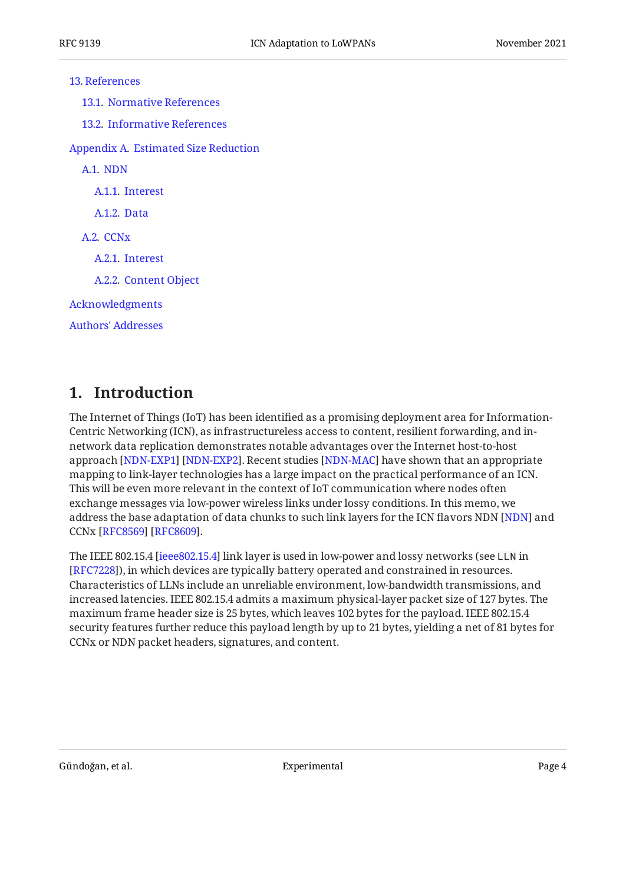#### [13](#page-33-0). [References](#page-33-0)

[13.1.](#page-33-1) [Normative References](#page-33-1)

[13.2.](#page-33-2) [Informative References](#page-33-2)

[Appendix A.](#page-35-0) [Estimated Size Reduction](#page-35-0)

[A.1](#page-36-0). [NDN](#page-36-0)

[A.1.1.](#page-36-1) [Interest](#page-36-1)

[A.1.2.](#page-37-0) [Data](#page-37-0)

[A.2](#page-38-0). CCN<sub>x</sub>

[A.2.1.](#page-38-1) [Interest](#page-38-1)

[A.2.2.](#page-39-0) [Content Object](#page-39-0)

[Acknowledgments](#page-40-0)

[Authors' Addresses](#page-40-1)

## <span id="page-3-0"></span>**[1. Introduction](#page-3-0)**

The Internet of Things (IoT) has been identified as a promising deployment area for Information-Centric Networking (ICN), as infrastructureless access to content, resilient forwarding, and innetwork data replication demonstrates notable advantages over the Internet host-to-host approach [[NDN-EXP1\]](#page-34-0) [[NDN-EXP2\]](#page-34-1). Recent studies [[NDN-MAC\]](#page-34-2) have shown that an appropriate mapping to link-layer technologies has a large impact on the practical performance of an ICN. This will be even more relevant in the context of IoT communication where nodes often exchange messages via low-power wireless links under lossy conditions. In this memo, we address the base adaptation of data chunks to such link layers for the ICN flavors [NDN](#page-34-3) [NDN] and CCNx [\[RFC8569](#page-35-1)] [[RFC8609\]](#page-35-2).

The IEEE 802.15.4 [\[ieee802.15.4](#page-33-3)] link layer is used in low-power and lossy networks (see LLN in ), in which devices are typically battery operated and constrained in resources. [[RFC7228\]](#page-34-4) Characteristics of LLNs include an unreliable environment, low-bandwidth transmissions, and increased latencies. IEEE 802.15.4 admits a maximum physical-layer packet size of 127 bytes. The maximum frame header size is 25 bytes, which leaves 102 bytes for the payload. IEEE 802.15.4 security features further reduce this payload length by up to 21 bytes, yielding a net of 81 bytes for CCNx or NDN packet headers, signatures, and content.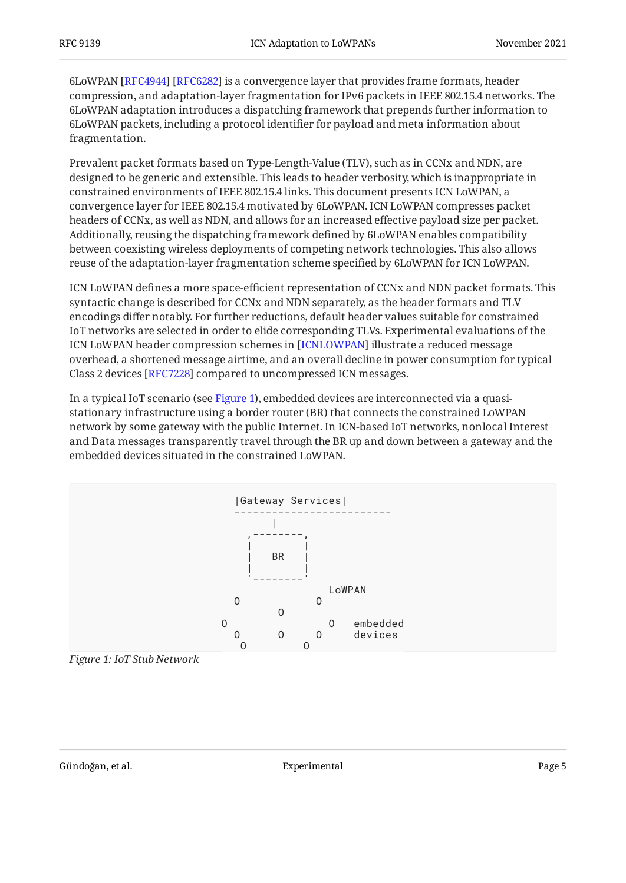6LoWPAN [RFC4944] [RFC6282] is a convergence layer that provides frame formats, header compression, and adaptation-layer fragmentation for IPv6 packets in IEEE 802.15.4 networks. The 6LoWPAN adaptation introduces a dispatching framework that prepends further information to 6LoWPAN packets, including a protocol identifier for payload and meta information about fragmentation.

Prevalent packet formats based on Type-Length-Value (TLV), such as in CCNx and NDN, are designed to be generic and extensible. This leads to header verbosity, which is inappropriate in constrained environments of IEEE 802.15.4 links. This document presents ICN LoWPAN, a convergence layer for IEEE 802.15.4 motivated by 6LoWPAN. ICN LoWPAN compresses packet headers of CCNx, as well as NDN, and allows for an increased effective payload size per packet. Additionally, reusing the dispatching framework defined by 6LoWPAN enables compatibility between coexisting wireless deployments of competing network technologies. This also allows reuse of the adaptation-layer fragmentation scheme specified by 6LoWPAN for ICN LoWPAN.

ICN LoWPAN defines a more space-efficient representation of CCNx and NDN packet formats. This syntactic change is described for CCNx and NDN separately, as the header formats and TLV encodings differ notably. For further reductions, default header values suitable for constrained IoT networks are selected in order to elide corresponding TLVs. Experimental evaluations of the ICN LoWPAN header compression schemes in [ICNLOWPAN] illustrate a reduced message overhead, a shortened message airtime, and an overall decline in power consumption for typical Class 2 devices [RFC7228] compared to uncompressed ICN messages.

In a typical IoT scenario (see [Figure 1\)](#page-4-0), embedded devices are interconnected via a quasistationary infrastructure using a border router (BR) that connects the constrained LoWPAN network by some gateway with the public Internet. In ICN-based IoT networks, nonlocal Interest and Data messages transparently travel through the BR up and down between a gateway and the embedded devices situated in the constrained LoWPAN.

<span id="page-4-0"></span>

*[Figure 1: IoT Stub Network](#page-4-0)*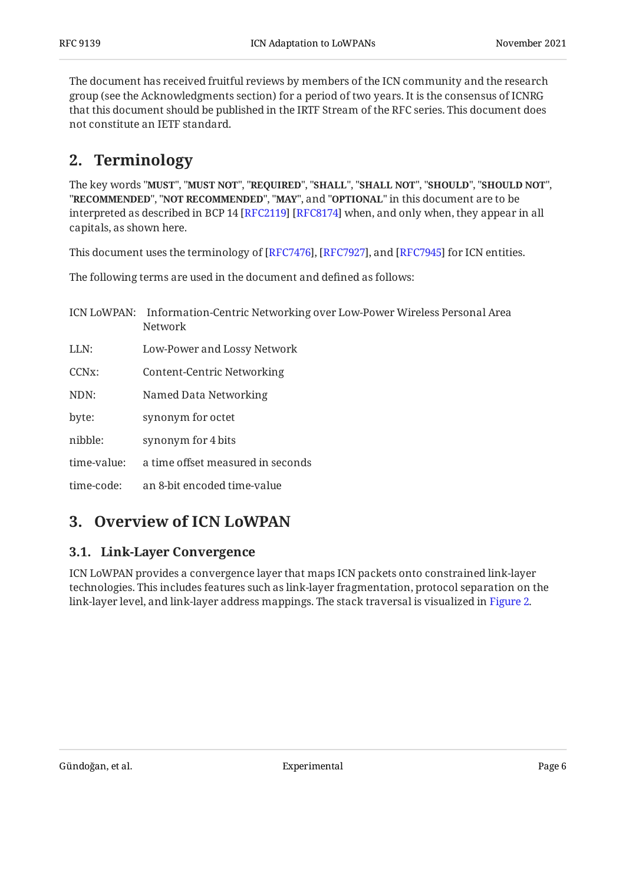The document has received fruitful reviews by members of the ICN community and the research group (see the Acknowledgments section) for a period of two years. It is the consensus of ICNRG that this document should be published in the IRTF Stream of the RFC series. This document does not constitute an IETF standard.

## <span id="page-5-0"></span>**[2. Terminology](#page-5-0)**

The key words "MUST", "MUST NOT", "REQUIRED", "SHALL", "SHALL NOT", "SHOULD", "SHOULD NOT", "**RECOMMENDED", "NOT RECOMMENDED", "MAY",** and "OPTIONAL" in this document are to be interpreted as described in BCP 14 [RFC2119] [RFC8174] when, and only when, they appear in all capitals, as shown here.

This document uses the terminology of [RFC7476], [RFC7927], and [RFC7945] for ICN entities.

The following terms are used in the document and defined as follows:

|                    | ICN LoWPAN: Information-Centric Networking over Low-Power Wireless Personal Area<br><b>Network</b> |
|--------------------|----------------------------------------------------------------------------------------------------|
| LLN:               | Low-Power and Lossy Network                                                                        |
| CCN <sub>x</sub> : | Content-Centric Networking                                                                         |
| NDN:               | Named Data Networking                                                                              |
| byte:              | synonym for octet                                                                                  |
| nibble:            | synonym for 4 bits                                                                                 |
| time-value:        | a time offset measured in seconds                                                                  |
| time-code:         | an 8-bit encoded time-value                                                                        |

## <span id="page-5-2"></span><span id="page-5-1"></span>**[3. Overview of ICN LoWPAN](#page-5-1)**

### **[3.1. Link-Layer Convergence](#page-5-2)**

<span id="page-5-3"></span>ICN LoWPAN provides a convergence layer that maps ICN packets onto constrained link-layer technologies. This includes features such as link-layer fragmentation, protocol separation on the link-layer level, and link-layer address mappings. The stack traversal is visualized in [Figure 2.](#page-6-1)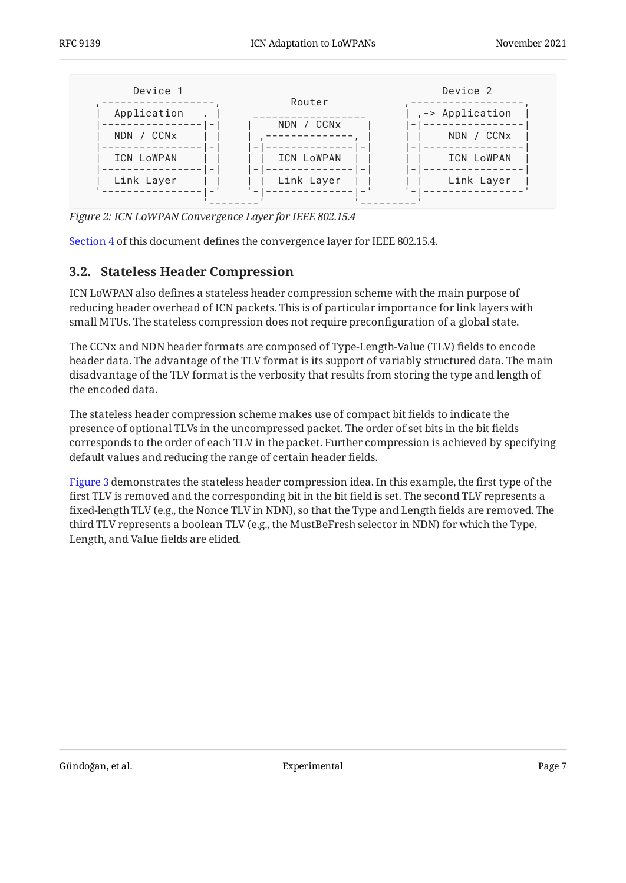<span id="page-6-1"></span>

*[Figure 2:](#page-6-1) [ICN LoWPAN Convergence Layer for IEEE 802.15.4](#page-5-3)* 

<span id="page-6-0"></span>[Section 4](#page-7-1) of this document defines the convergence layer for IEEE 802.15.4.

#### **[3.2. Stateless Header Compression](#page-6-0)**

ICN LoWPAN also defines a stateless header compression scheme with the main purpose of reducing header overhead of ICN packets. This is of particular importance for link layers with small MTUs. The stateless compression does not require preconfiguration of a global state.

The CCNx and NDN header formats are composed of Type-Length-Value (TLV) fields to encode header data. The advantage of the TLV format is its support of variably structured data. The main disadvantage of the TLV format is the verbosity that results from storing the type and length of the encoded data.

The stateless header compression scheme makes use of compact bit fields to indicate the presence of optional TLVs in the uncompressed packet. The order of set bits in the bit fields corresponds to the order of each TLV in the packet. Further compression is achieved by specifying default values and reducing the range of certain header fields.

<span id="page-6-2"></span>[Figure 3](#page-7-3) demonstrates the stateless header compression idea. In this example, the first type of the first TLV is removed and the corresponding bit in the bit field is set. The second TLV represents a fixed-length TLV (e.g., the Nonce TLV in NDN), so that the Type and Length fields are removed. The third TLV represents a boolean TLV (e.g., the MustBeFresh selector in NDN) for which the Type, Length, and Value fields are elided.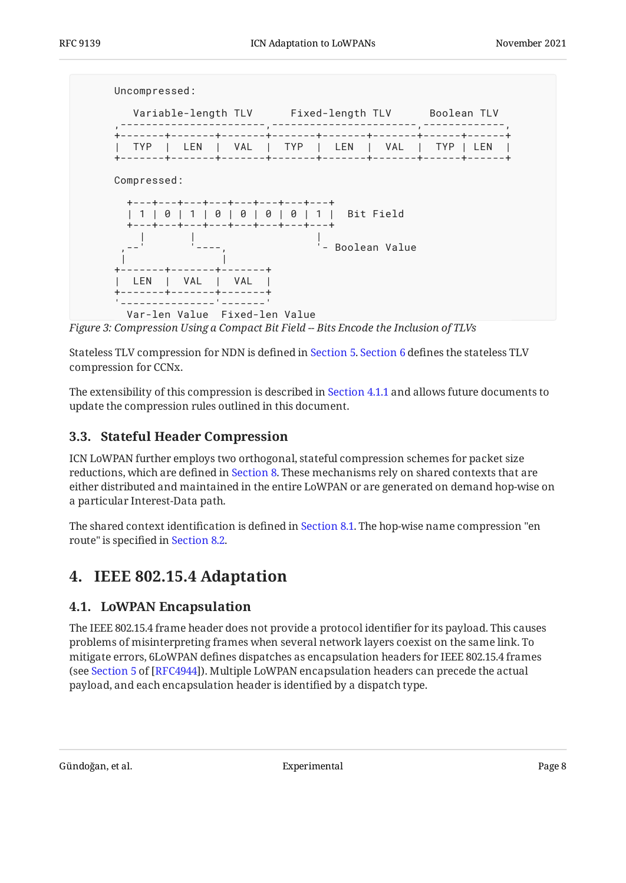<span id="page-7-3"></span>

*[Figure 3:](#page-7-3) [Compression Using a Compact Bit Field -- Bits Encode the Inclusion of TLVs](#page-6-2)* 

Stateless TLV compression for NDN is defined in [Section 5](#page-10-0). [Section 6](#page-18-0) defines the stateless TLV compression for CCNx.

The extensibility of this compression is described in [Section 4.1.1](#page-9-0) and allows future documents to update the compression rules outlined in this document.

## <span id="page-7-0"></span>**[3.3. Stateful Header Compression](#page-7-0)**

ICN LoWPAN further employs two orthogonal, stateful compression schemes for packet size reductions, which are defined in [Section 8](#page-27-1). These mechanisms rely on shared contexts that are either distributed and maintained in the entire LoWPAN or are generated on demand hop-wise on a particular Interest-Data path.

<span id="page-7-1"></span>The shared context identification is defined in [Section 8.1](#page-27-2). The hop-wise name compression "en route" is specified in [Section 8.2](#page-28-0).

# <span id="page-7-2"></span>**[4. IEEE 802.15.4 Adaptation](#page-7-1)**

## **[4.1. LoWPAN Encapsulation](#page-7-2)**

The IEEE 802.15.4 frame header does not provide a protocol identifier for its payload. This causes problems of misinterpreting frames when several network layers coexist on the same link. To mitigate errors, 6LoWPAN defines dispatches as encapsulation headers for IEEE 802.15.4 frames (seeSection 5 of [RFC4944]). Multiple LoWPAN encapsulation headers can precede the actual payload, and each encapsulation header is identified by a dispatch type.

Gündoğan, et al. Experimental Page 8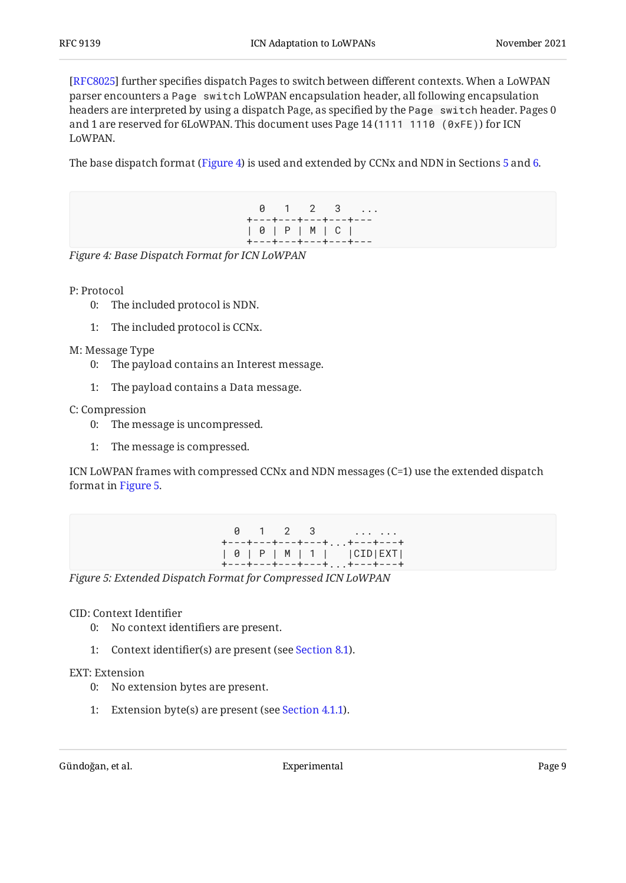[[RFC8025\]](#page-35-3) further specifies dispatch Pages to switch between different contexts. When a LoWPAN parser encounters a Page switch LoWPAN encapsulation header, all following encapsulation headers are interpreted by using a dispatch Page, as specified by the Page switch header. Pages 0 and 1 are reserved for 6LoWPAN. This document uses Page 14 (1111 1110 (0xFE)) for ICN LoWPAN.

<span id="page-8-0"></span>The base dispatch format ([Figure 4\)](#page-8-0) is used and extended by CCNx and NDN in Sections [5](#page-10-0) and [6](#page-18-0).

 0 1 2 3 ... +---+---+---+---+--- | 0 | P | M | C | +---+---+---+---+---

*[Figure 4: Base Dispatch Format for ICN LoWPAN](#page-8-0)* 

P: Protocol

- 0: The included protocol is NDN.
- 1: The included protocol is CCNx.

M: Message Type

- 0: The payload contains an Interest message.
- 1: The payload contains a Data message.

C: Compression

- 0: The message is uncompressed.
- 1: The message is compressed.

<span id="page-8-1"></span>ICN LoWPAN frames with compressed CCNx and NDN messages (C=1) use the extended dispatch format in [Figure 5.](#page-8-1)

|  |  |  |  | 0 1 2 3                                           |
|--|--|--|--|---------------------------------------------------|
|  |  |  |  | +---+---+---+---++---+---+                        |
|  |  |  |  | $\vert 0 \vert P \vert M \vert 1 \vert$   CID EXT |
|  |  |  |  | +---+---+---+---++---+---+                        |

*[Figure 5: Extended Dispatch Format for Compressed ICN LoWPAN](#page-8-1)* 

#### CID: Context Identifier

- 0: No context identifiers are present.
- 1: Context identifier(s) are present (see [Section 8.1](#page-27-2)).

#### EXT: Extension

- 0: No extension bytes are present.
- 1: Extension byte(s) are present (see [Section 4.1.1\)](#page-9-0).

Gündoğan, et al. Experimental Page 9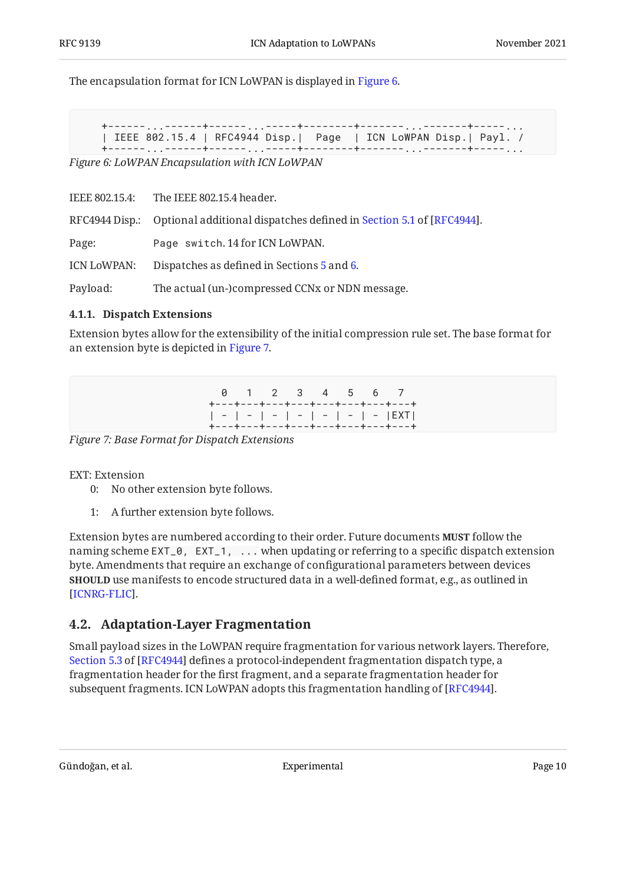<span id="page-9-2"></span>The encapsulation format for ICN LoWPAN is displayed in [Figure 6.](#page-9-2)

```
+------...------+------...-----+--------+-------...-------+-----...
| IEEE 802.15.4 | RFC4944 Disp.| Page | ICN LoWPAN Disp.| Payl. /
```
+------...------+------...-----+--------+-------...-------+-----...

*[Figure 6: LoWPAN Encapsulation with ICN LoWPAN](#page-9-2)* 

IEEE 802.15.4: The IEEE 802.15.4 header.

RFC4944Disp.: Optional additional dispatches defined in Section 5.1 of [RFC4944].

Page: Page switch. 14 for ICN LoWPAN.

ICN LoWPAN: Dispatches as defined in Sections [5](#page-10-0) and [6](#page-18-0).

<span id="page-9-0"></span>Payload: The actual (un-)compressed CCNx or NDN message.

#### **[4.1.1. Dispatch Extensions](#page-9-0)**

<span id="page-9-3"></span>Extension bytes allow for the extensibility of the initial compression rule set. The base format for an extension byte is depicted in [Figure 7.](#page-9-3)

> 0 1 2 3 4 5 6 7 +---+---+---+---+---+---+---+---+ | - | - | - | - | - | - | - |EXT| +---+---+---+---+---+---+---+---+

*[Figure 7: Base Format for Dispatch Extensions](#page-9-3)* 

EXT: Extension

- 0: No other extension byte follows.
- 1: A further extension byte follows.

Extension bytes are numbered according to their order. Future documents **MUST** follow the naming scheme EXT\_0, EXT\_1, ... when updating or referring to a specific dispatch extension byte. Amendments that require an exchange of configurational parameters between devices **SHOULD** use manifests to encode structured data in a well-defined format, e.g., as outlined in . [[ICNRG-FLIC\]](#page-34-8)

## <span id="page-9-1"></span>**[4.2. Adaptation-Layer Fragmentation](#page-9-1)**

Small payload sizes in the LoWPAN require fragmentation for various network layers. Therefore, [Section 5.3](https://www.rfc-editor.org/rfc/rfc4944#section-5.3) of [\[RFC4944\]](#page-33-4) defines a protocol-independent fragmentation dispatch type, a fragmentation header for the first fragment, and a separate fragmentation header for subsequent fragments. ICN LoWPAN adopts this fragmentation handling of [[RFC4944\]](#page-33-4).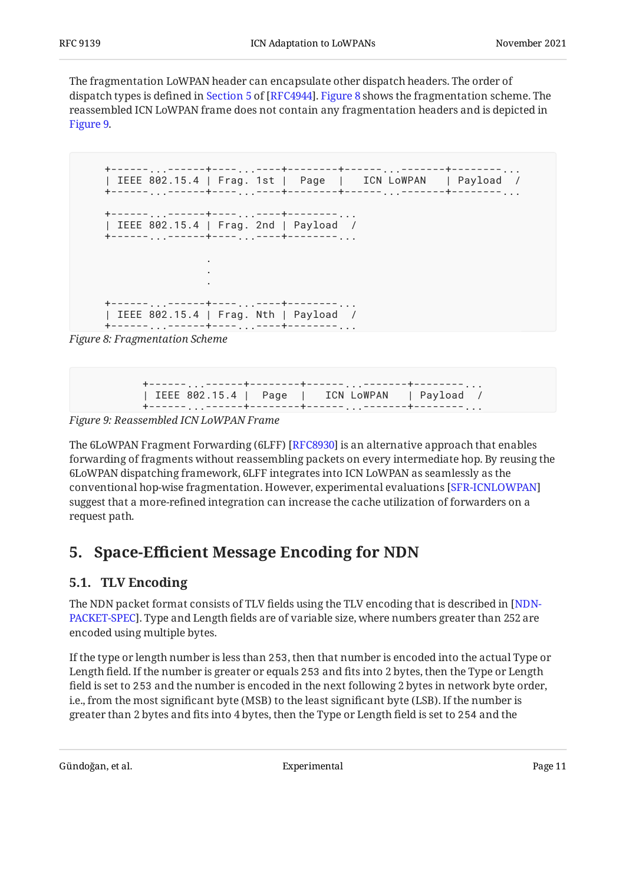The fragmentation LoWPAN header can encapsulate other dispatch headers. The order of dispatchtypes is defined in Section 5 of [RFC4944]. [Figure 8](#page-10-2) shows the fragmentation scheme. The reassembled ICN LoWPAN frame does not contain any fragmentation headers and is depicted in [Figure 9.](#page-10-3)

```
+------...------+----...----+--------+------...-------+--------...
| IEEE 802.15.4 | Frag. 1st | Page | ICN LoWPAN | Payload /
+------...------+----...----+--------+------...-------+--------...
+------...------+----...----+--------...
| IEEE 802.15.4 | Frag. 2nd | Payload /
+------...------+----...----+--------...
 .
 .
 .
+------...------+----...----+--------...
| IEEE 802.15.4 | Frag. Nth | Payload /
+------...------+----...----+--------...
```
<span id="page-10-3"></span>*[Figure 8: Fragmentation Scheme](#page-10-2)* 

| IEEE 802.15.4   Page   ICN LoWPAN   Payload / |  |
|-----------------------------------------------|--|
|                                               |  |

*[Figure 9: Reassembled ICN LoWPAN Frame](#page-10-3)* 

The 6LoWPAN Fragment Forwarding (6LFF) [RFC8930] is an alternative approach that enables forwarding of fragments without reassembling packets on every intermediate hop. By reusing the 6LoWPAN dispatching framework, 6LFF integrates into ICN LoWPAN as seamlessly as the conventional hop-wise fragmentation. However, experimental evaluations [[SFR-ICNLOWPAN\]](#page-35-5) suggest that a more-refined integration can increase the cache utilization of forwarders on a request path.

## <span id="page-10-1"></span><span id="page-10-0"></span>**[5. S](#page-10-0)pace-Effi[cient Message Encoding for NDN](#page-10-0)**

## **[5.1. TLV Encoding](#page-10-1)**

The NDN packet format consists of TLV fields using the TLV encoding that is described in [[NDN-](#page-34-9)[PACKET-SPEC\]](#page-34-9). Type and Length fields are of variable size, where numbers greater than 252 are encoded using multiple bytes.

If the type or length number is less than 253, then that number is encoded into the actual Type or Length field. If the number is greater or equals 253 and fits into 2 bytes, then the Type or Length field is set to 253 and the number is encoded in the next following 2 bytes in network byte order, i.e., from the most significant byte (MSB) to the least significant byte (LSB). If the number is greater than 2 bytes and fits into 4 bytes, then the Type or Length field is set to 254 and the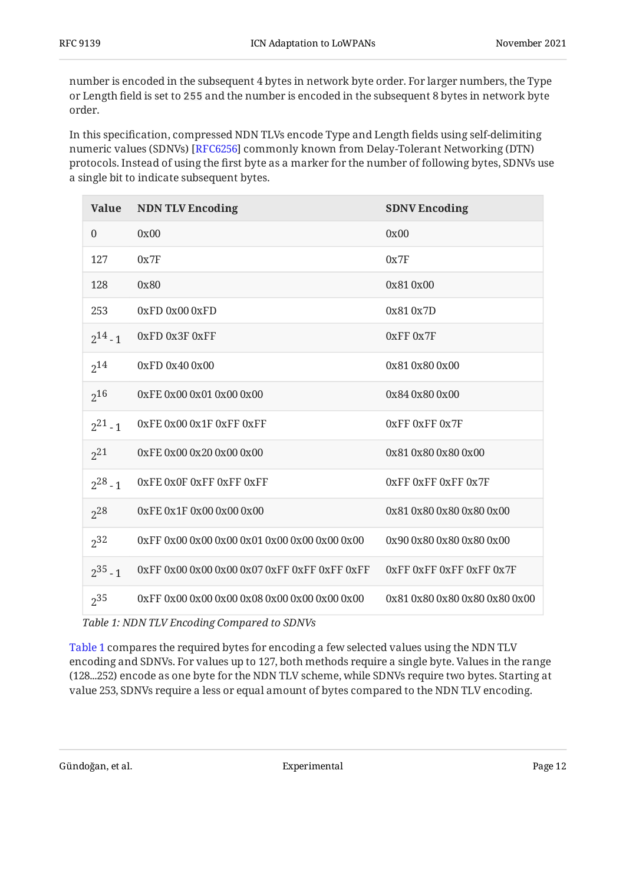number is encoded in the subsequent 4 bytes in network byte order. For larger numbers, the Type or Length field is set to 255 and the number is encoded in the subsequent 8 bytes in network byte order.

In this specification, compressed NDN TLVs encode Type and Length fields using self-delimiting numeric values (SDNVs) [RFC6256] commonly known from Delay-Tolerant Networking (DTN) protocols. Instead of using the first byte as a marker for the number of following bytes, SDNVs use a single bit to indicate subsequent bytes.

<span id="page-11-1"></span><span id="page-11-0"></span>

| <b>Value</b>     | <b>NDN TLV Encoding</b>              | <b>SDNV Encoding</b>               |
|------------------|--------------------------------------|------------------------------------|
| $\boldsymbol{0}$ | 0x00                                 | 0x00                               |
| 127              | 0x7F                                 | 0x7F                               |
| 128              | 0x80                                 | 0x810x00                           |
| 253              | $0xFD$ $0x00$ $0xFD$                 | 0x810x7D                           |
| $2^{14} - 1$     | 0xFD 0x3F 0xFF                       | 0xFF 0x7F                          |
| $2^{14}$         | 0xFD 0x40 0x00                       | 0x81 0x80 0x00                     |
| $2^{16}$         | 0xFE0x000x010x000x00                 | 0x840x800x00                       |
| $2^{21} - 1$     | 0xFE 0x00 0x1F 0xFF 0xFF             | 0xFF0xFF0x7F                       |
| $2^{21}$         | 0xFE0x000x200x000x00                 | 0x81 0x80 0x80 0x00                |
| $2^{28} - 1$     | OXFE OXOF OXFF OXFF OXFF             | OXFF OXFF OXFF OX7F                |
| $2^{28}$         | 0xFE 0x1F 0x00 0x00 0x00             | 0x81 0x80 0x80 0x80 0x00           |
| $2^{32}$         |                                      | 0x90 0x80 0x80 0x80 0x00           |
| $2^{35} - 1$     | 0xFF0x000x000x000x070xFF0xFF0xFF0xFF | $0xFF$ $0xFF$ $0xFF$ $0xFF$ $0x7F$ |
| $2^{35}$         |                                      | 0x81 0x80 0x80 0x80 0x80 0x00      |

*[Table 1](#page-11-0): [NDN TLV Encoding Compared to SDNVs](#page-11-1)* 

[Table 1](#page-11-1) compares the required bytes for encoding a few selected values using the NDN TLV encoding and SDNVs. For values up to 127, both methods require a single byte. Values in the range (128...252) encode as one byte for the NDN TLV scheme, while SDNVs require two bytes. Starting at value 253, SDNVs require a less or equal amount of bytes compared to the NDN TLV encoding.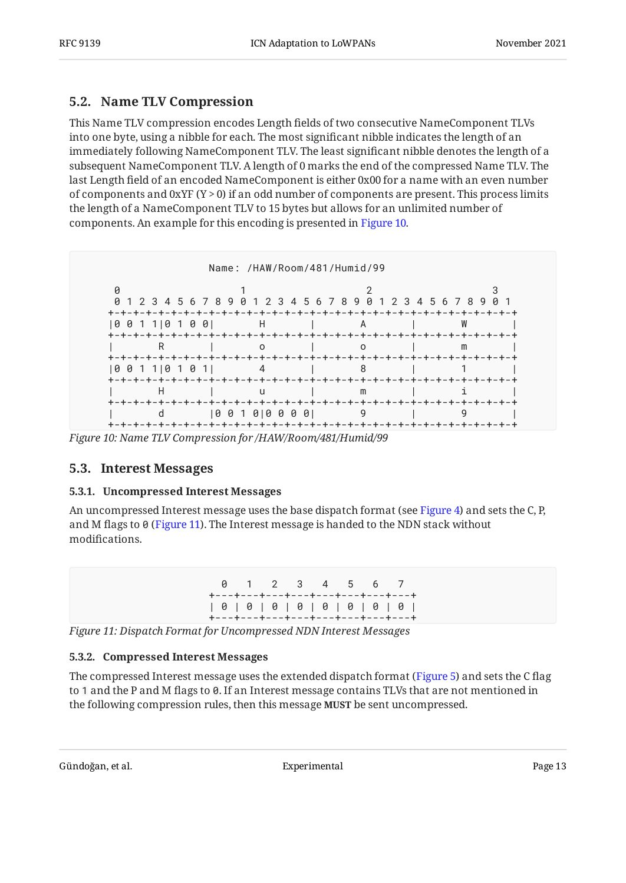## <span id="page-12-0"></span>**[5.2. Name TLV Compression](#page-12-0)**

This Name TLV compression encodes Length fields of two consecutive NameComponent TLVs into one byte, using a nibble for each. The most significant nibble indicates the length of an immediately following NameComponent TLV. The least significant nibble denotes the length of a subsequent NameComponent TLV. A length of 0 marks the end of the compressed Name TLV. The last Length field of an encoded NameComponent is either 0x00 for a name with an even number of components and 0xYF  $(Y > 0)$  if an odd number of components are present. This process limits the length of a NameComponent TLV to 15 bytes but allows for an unlimited number of components. An example for this encoding is presented in [Figure 10](#page-12-4).

<span id="page-12-4"></span>

<span id="page-12-1"></span>*[Figure 10: Name TLV Compression for /HAW/Room/481/Humid/99](#page-12-4)* 

## <span id="page-12-2"></span>**[5.3. Interest Messages](#page-12-1)**

#### **[5.3.1. Uncompressed Interest Messages](#page-12-2)**

<span id="page-12-5"></span>An uncompressed Interest message uses the base dispatch format (see [Figure 4\)](#page-8-0) and sets the C, P, and M flags to 0 ([Figure 11\)](#page-12-5). The Interest message is handed to the NDN stack without modifications.

|  |  |  |  |  | 0 1 2 3 4 5 6 7                             |  |  |  |
|--|--|--|--|--|---------------------------------------------|--|--|--|
|  |  |  |  |  | +---+---+---+---+---+---+---+---+           |  |  |  |
|  |  |  |  |  | $[ 0    0    0    0    0    0    0    0   $ |  |  |  |
|  |  |  |  |  | +---+---+---+---+---+---+---+---            |  |  |  |

<span id="page-12-3"></span>*[Figure 11: Dispatch Format for Uncompressed NDN Interest Messages](#page-12-5)* 

### **[5.3.2. Compressed Interest Messages](#page-12-3)**

The compressed Interest message uses the extended dispatch format ([Figure 5\)](#page-8-1) and sets the C flag to 1 and the P and M flags to 0. If an Interest message contains TLVs that are not mentioned in the following compression rules, then this message **MUST** be sent uncompressed.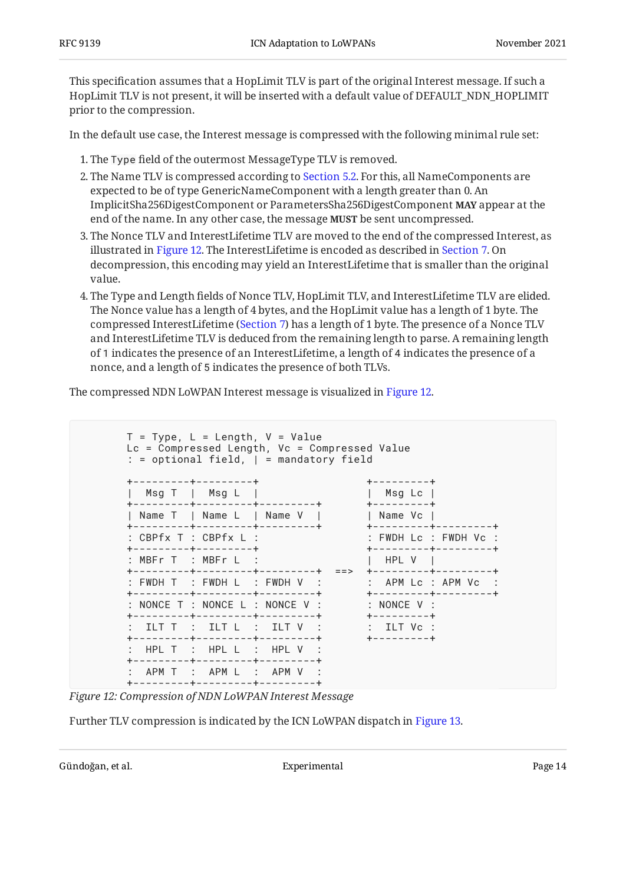This specification assumes that a HopLimit TLV is part of the original Interest message. If such a HopLimit TLV is not present, it will be inserted with a default value of DEFAULT\_NDN\_HOPLIMIT prior to the compression.

In the default use case, the Interest message is compressed with the following minimal rule set:

- The Type field of the outermost MessageType TLV is removed. 1.
- 2. The Name TLV is compressed according to [Section 5.2](#page-12-0). For this, all NameComponents are expected to be of type GenericNameComponent with a length greater than 0. An ImplicitSha256DigestComponent or ParametersSha256DigestComponent **MAY** appear at the end of the name. In any other case, the message **MUST** be sent uncompressed.
- 3. The Nonce TLV and InterestLifetime TLV are moved to the end of the compressed Interest, as illustrated in [Figure 12.](#page-13-0) The InterestLifetime is encoded as described in [Section 7](#page-27-0). On decompression, this encoding may yield an InterestLifetime that is smaller than the original value.
- The Type and Length fields of Nonce TLV, HopLimit TLV, and InterestLifetime TLV are elided. 4. The Nonce value has a length of 4 bytes, and the HopLimit value has a length of 1 byte. The compressed InterestLifetime [\(Section 7](#page-27-0)) has a length of 1 byte. The presence of a Nonce TLV and InterestLifetime TLV is deduced from the remaining length to parse. A remaining length of 1 indicates the presence of an InterestLifetime, a length of 4 indicates the presence of a nonce, and a length of 5 indicates the presence of both TLVs.

<span id="page-13-0"></span>The compressed NDN LoWPAN Interest message is visualized in [Figure 12](#page-13-0).

```
T = Type, L = Length, V = ValueLc = Compressed Length, Vc = Compressed Value
: = optional field, | = mandatory field
+---------+---------+ +---------+
| Msg T | Msg L | | Msg Lc |
+---------+---------+---------+ +---------+
| Name T | Name L | Name V | | | Name Vc |
+---------+---------+---------+ +---------+---------+
: CBPfx T : CBPfx L : \qquad \qquad : FWDH Lc : FWDH Vc :
+---------+---------+ +---------+---------+
: MBFr T : MBFr L :+---------+---------+---------+ ==> +---------+---------+
: FWDH T : FWDH L : FWDH V : \qquad : APM Lc : APM Vc :
+---------+---------+---------+ +---------+---------+
: NONCE T : NONCE L : NONCE V : : NONCE V :+---------+---------+---------+ +---------+
: ILT T : ILT L : ILT V : : : ILT Vc :
+---------+---------+---------+ +---------+
: HPL T : HPL L : HPL V :
+---------+---------+---------+
: APM T : APM L : APM V :
+---------+---------+---------+
```
*[Figure 12: Compression of NDN LoWPAN Interest Message](#page-13-0)* 

Further TLV compression is indicated by the ICN LoWPAN dispatch in [Figure 13.](#page-14-0)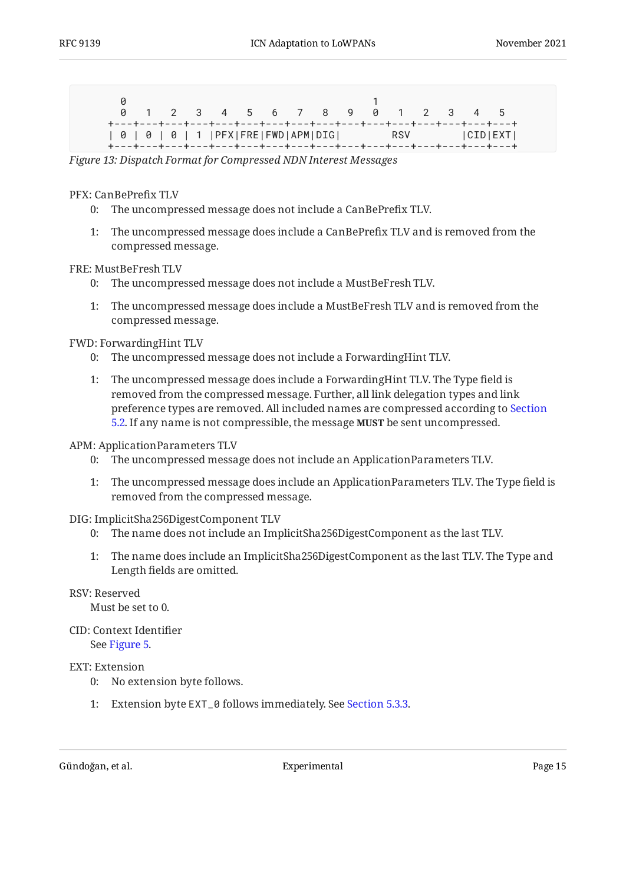<span id="page-14-0"></span>

|                                                   |  | 0 1 2 3 4 5 6 7 8 9 0 1 2 3 4 5 |  |  |  |  |  |  |
|---------------------------------------------------|--|---------------------------------|--|--|--|--|--|--|
| 0   0   0   1  PFX FRE FWD APM DIG  RSV   CID EXT |  |                                 |  |  |  |  |  |  |

*[Figure 13: Dispatch Format for Compressed NDN Interest Messages](#page-14-0)* 

#### PFX: CanBePrefix TLV

- 0: The uncompressed message does not include a CanBePrefix TLV.
- 1: The uncompressed message does include a CanBePrefix TLV and is removed from the compressed message.

#### FRE: MustBeFresh TLV

- 0: The uncompressed message does not include a MustBeFresh TLV.
- 1: The uncompressed message does include a MustBeFresh TLV and is removed from the compressed message.

#### FWD: ForwardingHint TLV

- 0: The uncompressed message does not include a ForwardingHint TLV.
- 1: The uncompressed message does include a ForwardingHint TLV. The Type field is removed from the compressed message. Further, all link delegation types and link preference types are removed. All included names are compressed according to [Section](#page-12-0) [5.2.](#page-12-0) If any name is not compressible, the message **MUST** be sent uncompressed.

#### APM: ApplicationParameters TLV

- 0: The uncompressed message does not include an ApplicationParameters TLV.
- 1: The uncompressed message does include an ApplicationParameters TLV. The Type field is removed from the compressed message.

#### DIG: ImplicitSha256DigestComponent TLV

- 0: The name does not include an ImplicitSha256DigestComponent as the last TLV.
- 1: The name does include an ImplicitSha256DigestComponent as the last TLV. The Type and Length fields are omitted.

#### RSV: Reserved

Must be set to 0.

CID: Context Identifier See [Figure 5.](#page-8-1)

#### EXT: Extension

- 0: No extension byte follows.
- 1: Extension byte EXT\_0 follows immediately. See [Section 5.3.3.](#page-15-0)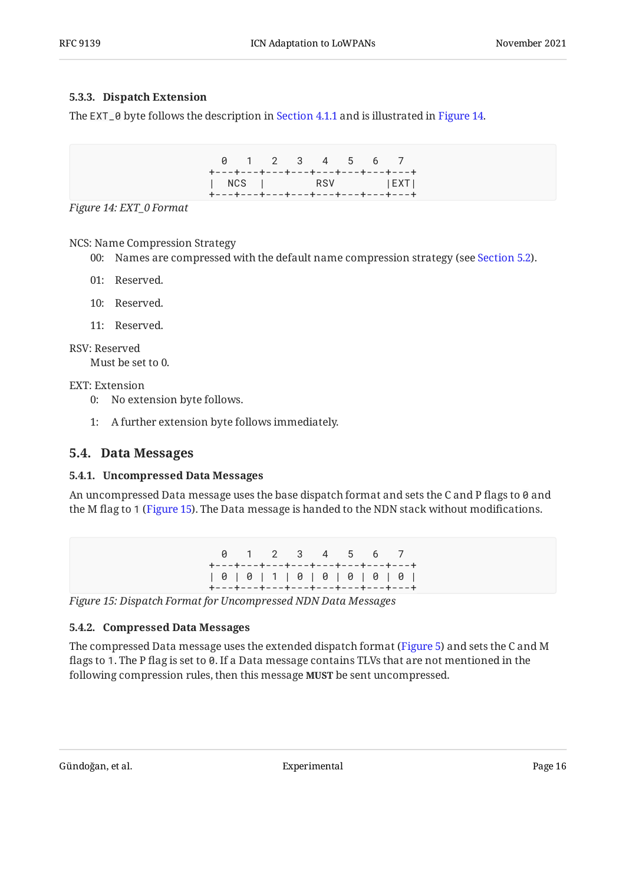#### <span id="page-15-0"></span>**[5.3.3. Dispatch Extension](#page-15-0)**

<span id="page-15-4"></span>The EXT\_0 byte follows the description in [Section 4.1.1](#page-9-0) and is illustrated in [Figure 14.](#page-15-4)

 0 1 2 3 4 5 6 7 +---+---+---+---+---+---+---+---+ | NCS | RSV |EXT| +---+---+---+---+---+---+---+---+

*[Figure 14: EXT\\_0 Format](#page-15-4)* 

NCS: Name Compression Strategy

00: Names are compressed with the default name compression strategy (see [Section 5.2](#page-12-0)).

- 01: Reserved.
- 10: Reserved.
- 11: Reserved.

RSV: Reserved

Must be set to 0.

EXT: Extension

- 0: No extension byte follows.
- 1: A further extension byte follows immediately.

#### <span id="page-15-2"></span><span id="page-15-1"></span>**[5.4. Data Messages](#page-15-1)**

#### **[5.4.1. Uncompressed Data Messages](#page-15-2)**

<span id="page-15-5"></span>An uncompressed Data message uses the base dispatch format and sets the C and P flags to 0 and the M flag to 1 [\(Figure 15](#page-15-5)). The Data message is handed to the NDN stack without modifications.

> 0 1 2 3 4 5 6 7 +---+---+---+---+---+---+---+---+ | 0 | 0 | 1 | 0 | 0 | 0 | 0 | 0 | +---+---+---+---+---+---+---+---+

<span id="page-15-3"></span>*[Figure 15: Dispatch Format for Uncompressed NDN Data Messages](#page-15-5)* 

#### **[5.4.2. Compressed Data Messages](#page-15-3)**

The compressed Data message uses the extended dispatch format ([Figure 5\)](#page-8-1) and sets the C and M flags to 1. The P flag is set to 0. If a Data message contains TLVs that are not mentioned in the following compression rules, then this message **MUST** be sent uncompressed.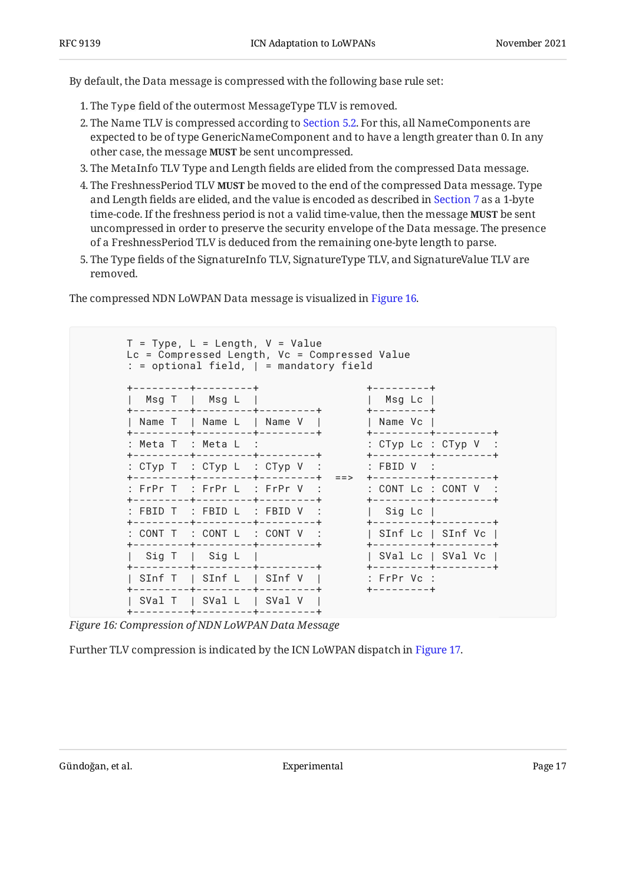By default, the Data message is compressed with the following base rule set:

- 1. The Type field of the outermost MessageType TLV is removed.
- 2. The Name TLV is compressed according to [Section 5.2](#page-12-0). For this, all NameComponents are expected to be of type GenericNameComponent and to have a length greater than 0. In any other case, the message **MUST** be sent uncompressed.
- The MetaInfo TLV Type and Length fields are elided from the compressed Data message. 3.
- 4. The FreshnessPeriod TLV **MUST** be moved to the end of the compressed Data message. Type and Length fields are elided, and the value is encoded as described in [Section 7](#page-27-0) as a 1-byte time-code. If the freshness period is not a valid time-value, then the message **MUST** be sent uncompressed in order to preserve the security envelope of the Data message. The presence of a FreshnessPeriod TLV is deduced from the remaining one-byte length to parse.
- The Type fields of the SignatureInfo TLV, SignatureType TLV, and SignatureValue TLV are 5. removed.

The compressed NDN LoWPAN Data message is visualized in [Figure 16.](#page-16-0)

<span id="page-16-0"></span>

| --------+--------+                                                       |  | +---------+                                                                                                |  |
|--------------------------------------------------------------------------|--|------------------------------------------------------------------------------------------------------------|--|
| Msg T   Msg L  <br>+---------+----------+----------+                     |  | $ $ Msg Lc $ $<br>+---------+                                                                              |  |
| +---------+---------+----------+                                         |  | Name T   Name L   Name V       Name Vc  <br>+---------+---------+                                          |  |
| : Meta T  : Meta L  :<br>+---------+----------+--------+                 |  | : $CType\ Lc$ : $CType\ V$ :<br>+---------+--------+                                                       |  |
|                                                                          |  | : CTyp T : CTyp L : CTyp V :       : FBID V :<br>+---------+---------+----------+ ==> +--------+---------+ |  |
| +---------+---------+----------+                                         |  | : FrPr T : FrPr L : FrPr V :       : CONT Lc : CONT V :<br>+---------+--------+                            |  |
| $:$ FBID T $:$ FBID L $:$ FBID V $:$<br>+---------+---------+----------+ |  | Sig Lc  <br>+---------+---------+                                                                          |  |
| +--------+---------+--------+                                            |  | : CONT T : CONT L : CONT V :   SInf Lc   SInf Vc  <br>+---------+--------+                                 |  |
| Sig T   Sig L                                                            |  | SVal Lc   SVal Vc  <br>+---------+---------+                                                               |  |
| +---------+---------+----------+                                         |  | SInf T   SInf L   SInf V   : FrPr Vc :                                                                     |  |
| +---------+----------+----------+<br>SVal $T$   SVal $L$   SVal V        |  |                                                                                                            |  |

*[Figure 16: Compression of NDN LoWPAN Data Message](#page-16-0)* 

<span id="page-16-1"></span>Further TLV compression is indicated by the ICN LoWPAN dispatch in [Figure 17.](#page-17-1)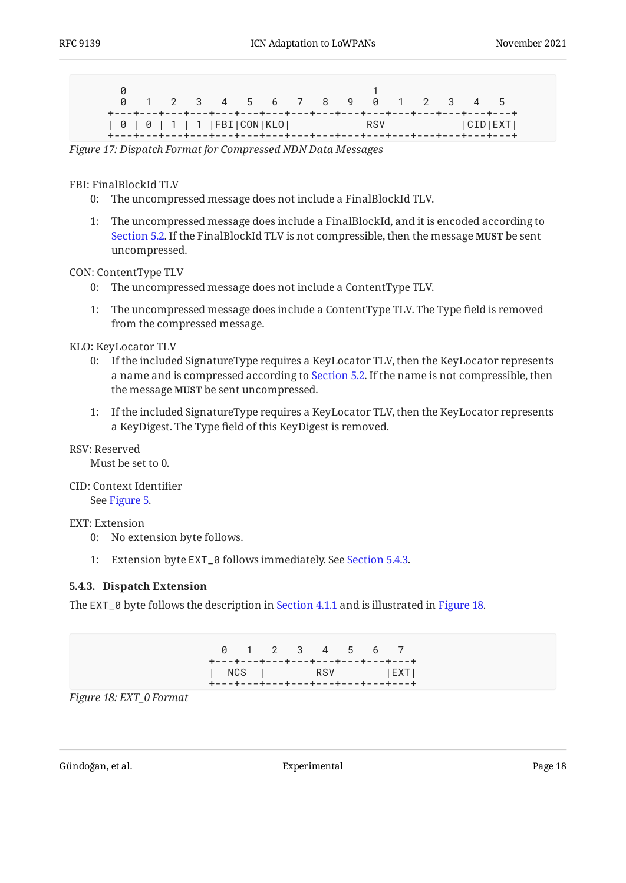<span id="page-17-1"></span>

|                                                                          |  | 0 1 2 3 4 5 6 7 8 9 0 1 2 3 4 5 |  |  |  |  |  |  |
|--------------------------------------------------------------------------|--|---------------------------------|--|--|--|--|--|--|
| +---+---+---+---+---+---+---+---+---+---+---+---+---+---+---+---+---+--- |  |                                 |  |  |  |  |  |  |

*[Figure 17:](#page-17-1) [Dispatch Format for Compressed NDN Data Messages](#page-16-1)* 

FBI: FinalBlockId TLV

- 0: The uncompressed message does not include a FinalBlockId TLV.
- 1: The uncompressed message does include a FinalBlockId, and it is encoded according to [Section 5.2](#page-12-0). If the FinalBlockId TLV is not compressible, then the message **MUST** be sent uncompressed.

#### CON: ContentType TLV

- 0: The uncompressed message does not include a ContentType TLV.
- 1: The uncompressed message does include a ContentType TLV. The Type field is removed from the compressed message.

#### KLO: KeyLocator TLV

- 0: If the included SignatureType requires a KeyLocator TLV, then the KeyLocator represents a name and is compressed according to [Section 5.2](#page-12-0). If the name is not compressible, then the message **MUST** be sent uncompressed.
- 1: If the included SignatureType requires a KeyLocator TLV, then the KeyLocator represents a KeyDigest. The Type field of this KeyDigest is removed.

#### RSV: Reserved

Must be set to 0.

CID: Context Identifier See [Figure 5.](#page-8-1)

#### EXT: Extension

- 0: No extension byte follows.
- 1: Extension byte EXT\_0 follows immediately. See [Section 5.4.3.](#page-17-0)

#### <span id="page-17-0"></span>**[5.4.3. Dispatch Extension](#page-17-0)**

<span id="page-17-2"></span>The EXT\_0 byte follows the description in [Section 4.1.1](#page-9-0) and is illustrated in [Figure 18.](#page-17-2)

|  | 0 1 2 3 4 5 6 7 |  |  | +---+---+---+---+---+---+---+---                     |
|--|-----------------|--|--|------------------------------------------------------|
|  |                 |  |  | NCS   RSV   EXT <br>+---+---+---+---+---+---+---+--- |

*[Figure 18: EXT\\_0 Format](#page-17-2)*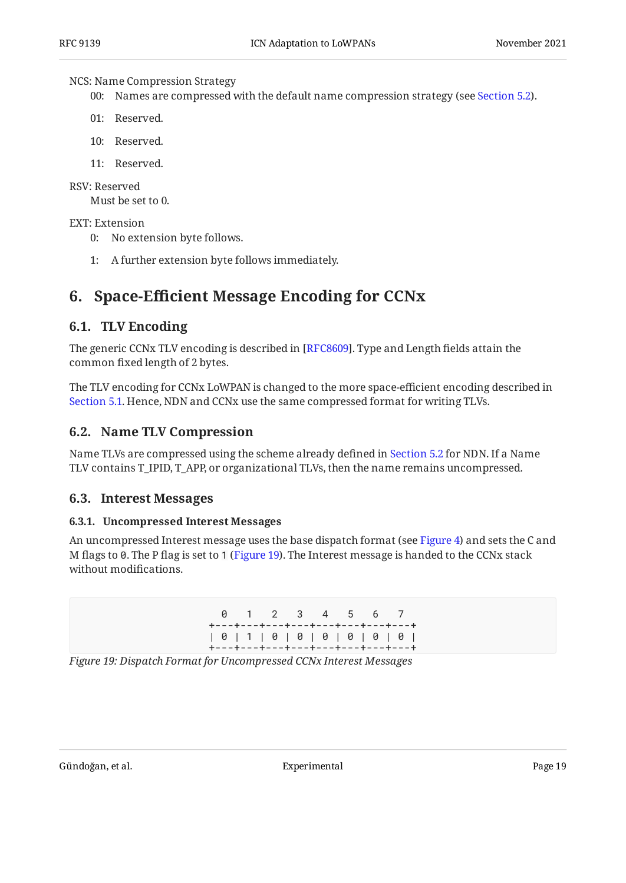#### NCS: Name Compression Strategy

00: Names are compressed with the default name compression strategy (see [Section 5.2](#page-12-0)).

- 01: Reserved.
- 10: Reserved.
- 11: Reserved.

#### RSV: Reserved

Must be set to 0.

#### EXT: Extension

- 0: No extension byte follows.
- <span id="page-18-0"></span>1: A further extension byte follows immediately.

## <span id="page-18-1"></span>**[6. S](#page-18-0)pace-Effi[cient Message Encoding for CCNx](#page-18-0)**

### **[6.1. TLV Encoding](#page-18-1)**

The generic CCNx TLV encoding is described in [[RFC8609\]](#page-35-2). Type and Length fields attain the common fixed length of 2 bytes.

The TLV encoding for CCNx LoWPAN is changed to the more space-efficient encoding described in [Section 5.1](#page-10-1). Hence, NDN and CCNx use the same compressed format for writing TLVs.

### <span id="page-18-2"></span>**[6.2. Name TLV Compression](#page-18-2)**

Name TLVs are compressed using the scheme already defined in [Section 5.2](#page-12-0) for NDN. If a Name TLV contains T\_IPID, T\_APP, or organizational TLVs, then the name remains uncompressed.

### <span id="page-18-4"></span><span id="page-18-3"></span>**[6.3. Interest Messages](#page-18-3)**

#### **[6.3.1. Uncompressed Interest Messages](#page-18-4)**

<span id="page-18-5"></span>An uncompressed Interest message uses the base dispatch format (see [Figure 4\)](#page-8-0) and sets the C and M flags to 0. The P flag is set to 1 ([Figure 19\)](#page-18-5). The Interest message is handed to the CCNx stack without modifications.

|  |  |  |  | 0 1 2 3 4 5 6 7                                                    |  |  |  |  |
|--|--|--|--|--------------------------------------------------------------------|--|--|--|--|
|  |  |  |  | +---+---+---+---+---+---+---+---+                                  |  |  |  |  |
|  |  |  |  | $0 1 1 0 0 0 0 0 0 0 0 0 0 0$<br>+---+---+---+---+---+---+---+---+ |  |  |  |  |

*[Figure 19: Dispatch Format for Uncompressed CCNx Interest Messages](#page-18-5)*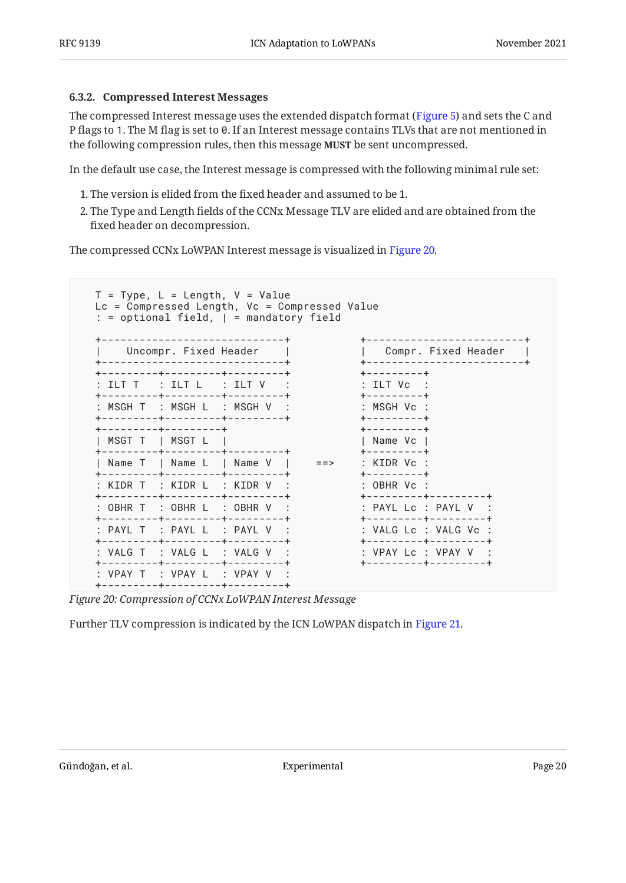#### <span id="page-19-0"></span>**[6.3.2. Compressed Interest Messages](#page-19-0)**

The compressed Interest message uses the extended dispatch format ([Figure 5\)](#page-8-1) and sets the C and P flags to 1. The M flag is set to 0. If an Interest message contains TLVs that are not mentioned in the following compression rules, then this message **MUST** be sent uncompressed.

In the default use case, the Interest message is compressed with the following minimal rule set:

- The version is elided from the fixed header and assumed to be 1. 1.
- 2. The Type and Length fields of the CCNx Message TLV are elided and are obtained from the fixed header on decompression.

The compressed CCNx LoWPAN Interest message is visualized in [Figure 20](#page-19-1).

<span id="page-19-1"></span>

*[Figure 20: Compression of CCNx LoWPAN Interest Message](#page-19-1)* 

<span id="page-19-2"></span>Further TLV compression is indicated by the ICN LoWPAN dispatch in [Figure 21.](#page-20-0)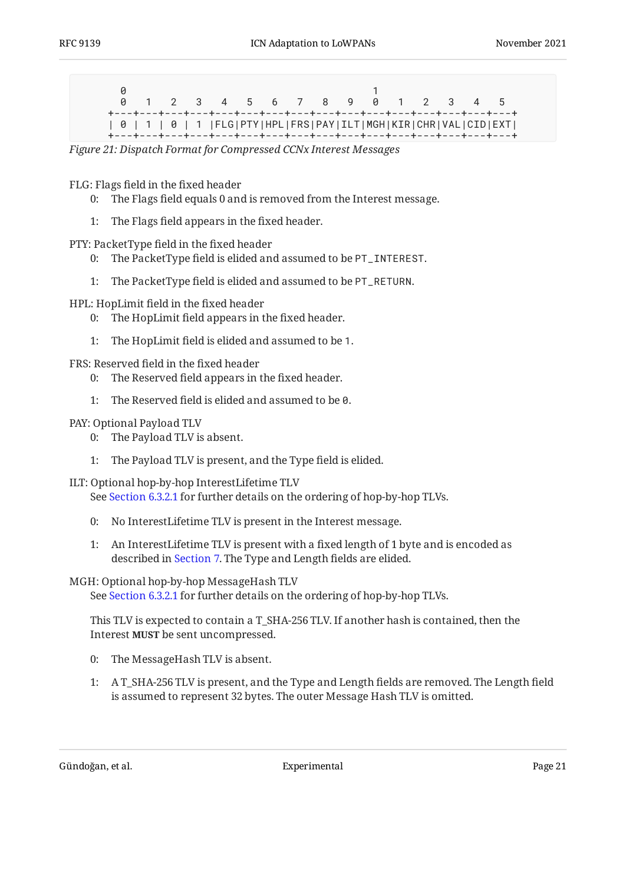<span id="page-20-0"></span>

|  |  | 0 1 2 3 4 5 6 7 8 9 0 1 2 3 4 5                                                                                                                                                                                                                                                                                                                                                                    |  |  |  |  |  |  |
|--|--|----------------------------------------------------------------------------------------------------------------------------------------------------------------------------------------------------------------------------------------------------------------------------------------------------------------------------------------------------------------------------------------------------|--|--|--|--|--|--|
|  |  | +---+---+---+---+---+---+---+---+---+---+---+---+---+---+---+---+---+<br>  0   1   0   1  FLG PTY HPL FRS PAY ILT MGH KIR CHR VAL CID EXT <br><b>★</b> ───★───★─── <del>★</del> ─── <del>★</del> ─── <del>★</del> ─── <del>★</del> ─── <del>★</del> ─── <del>★</del> ──── <del>★</del> ──── <del>★</del> ──── <del>★</del> ──── <del>★</del> ──── <del>★</del> ──── <del>★</del> ──── <del>★</del> |  |  |  |  |  |  |

*[Figure 21:](#page-20-0) [Dispatch Format for Compressed CCNx Interest Messages](#page-19-2)* 

FLG: Flags field in the fixed header

- 0: The Flags field equals 0 and is removed from the Interest message.
- 1: The Flags field appears in the fixed header.

PTY: PacketType field in the fixed header

- 0: The PacketType field is elided and assumed to be PT\_INTEREST.
- 1: The PacketType field is elided and assumed to be PT\_RETURN.

HPL: HopLimit field in the fixed header

- 0: The HopLimit field appears in the fixed header.
- 1: The HopLimit field is elided and assumed to be 1.

FRS: Reserved field in the fixed header

- 0: The Reserved field appears in the fixed header.
- 1: The Reserved field is elided and assumed to be 0.

#### PAY: Optional Payload TLV

- 0: The Payload TLV is absent.
- 1: The Payload TLV is present, and the Type field is elided.
- ILT: Optional hop-by-hop InterestLifetime TLV

See [Section 6.3.2.1](#page-21-0) for further details on the ordering of hop-by-hop TLVs.

- 0: No InterestLifetime TLV is present in the Interest message.
- 1: An InterestLifetime TLV is present with a fixed length of 1 byte and is encoded as described in [Section 7.](#page-27-0) The Type and Length fields are elided.

#### MGH: Optional hop-by-hop MessageHash TLV

See [Section 6.3.2.1](#page-21-0) for further details on the ordering of hop-by-hop TLVs.

This TLV is expected to contain a T\_SHA-256 TLV. If another hash is contained, then the Interest **MUST** be sent uncompressed.

- 0: The MessageHash TLV is absent.
- 1: A T\_SHA-256 TLV is present, and the Type and Length fields are removed. The Length field is assumed to represent 32 bytes. The outer Message Hash TLV is omitted.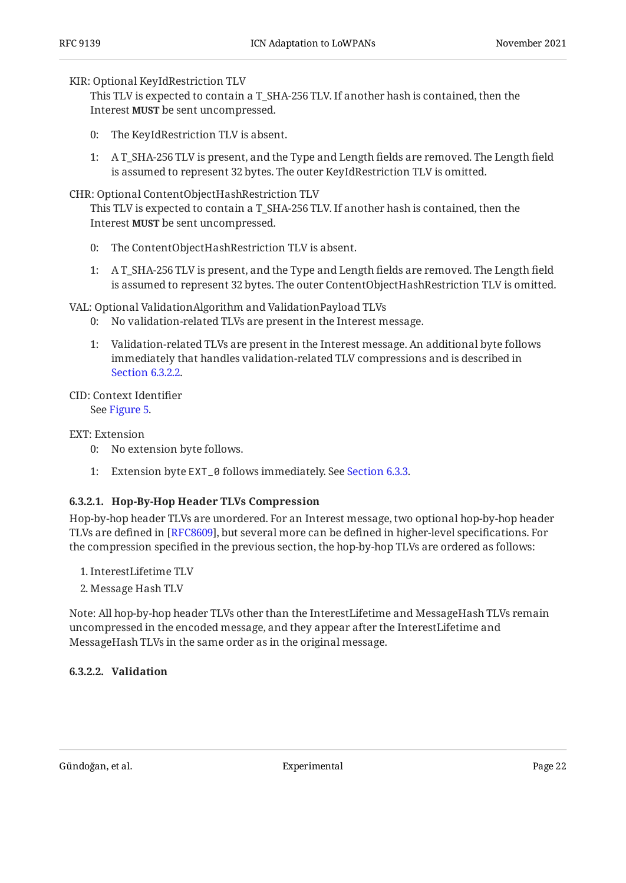#### KIR: Optional KeyIdRestriction TLV

This TLV is expected to contain a T\_SHA-256 TLV. If another hash is contained, then the Interest **MUST** be sent uncompressed.

- 0: The KeyIdRestriction TLV is absent.
- 1: A T\_SHA-256 TLV is present, and the Type and Length fields are removed. The Length field is assumed to represent 32 bytes. The outer KeyIdRestriction TLV is omitted.

#### CHR: Optional ContentObjectHashRestriction TLV

This TLV is expected to contain a T\_SHA-256 TLV. If another hash is contained, then the Interest **MUST** be sent uncompressed.

- 0: The ContentObjectHashRestriction TLV is absent.
- 1: A T\_SHA-256 TLV is present, and the Type and Length fields are removed. The Length field is assumed to represent 32 bytes. The outer ContentObjectHashRestriction TLV is omitted.

VAL: Optional ValidationAlgorithm and ValidationPayload TLVs

- 0: No validation-related TLVs are present in the Interest message.
- 1: Validation-related TLVs are present in the Interest message. An additional byte follows immediately that handles validation-related TLV compressions and is described in [Section 6.3.2.2](#page-21-1).

#### CID: Context Identifier

See [Figure 5.](#page-8-1)

#### EXT: Extension

- 0: No extension byte follows.
- 1: Extension byte EXT\_0 follows immediately. See [Section 6.3.3.](#page-23-0)

#### <span id="page-21-0"></span>**[6.3.2.1. Hop-By-Hop Header TLVs Compression](#page-21-0)**

Hop-by-hop header TLVs are unordered. For an Interest message, two optional hop-by-hop header TLVs are defined in [RFC8609], but several more can be defined in higher-level specifications. For the compression specified in the previous section, the hop-by-hop TLVs are ordered as follows:

- InterestLifetime TLV 1.
- 2. Message Hash TLV

Note: All hop-by-hop header TLVs other than the InterestLifetime and MessageHash TLVs remain uncompressed in the encoded message, and they appear after the InterestLifetime and MessageHash TLVs in the same order as in the original message.

#### <span id="page-21-2"></span><span id="page-21-1"></span>**[6.3.2.2. Validation](#page-21-1)**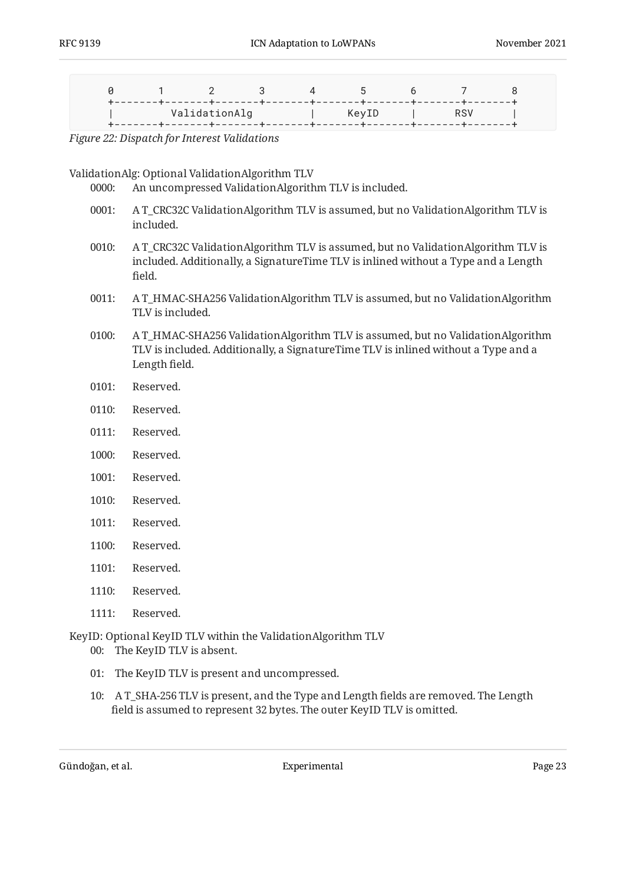<span id="page-22-0"></span>

|  |  | P 1 2 3 4 5 6 7             |  |  |
|--|--|-----------------------------|--|--|
|  |  | ValidationAlg   KeyID   RSV |  |  |

*[Figure 22:](#page-22-0) [Dispatch for Interest Validations](#page-21-2)* 

ValidationAlg: Optional ValidationAlgorithm TLV

0000: An uncompressed ValidationAlgorithm TLV is included.

- 0001: A T\_CRC32C ValidationAlgorithm TLV is assumed, but no ValidationAlgorithm TLV is included.
- 0010: A T\_CRC32C ValidationAlgorithm TLV is assumed, but no ValidationAlgorithm TLV is included. Additionally, a SignatureTime TLV is inlined without a Type and a Length field.
- 0011: A T\_HMAC-SHA256 ValidationAlgorithm TLV is assumed, but no ValidationAlgorithm TLV is included.
- 0100: A T\_HMAC-SHA256 ValidationAlgorithm TLV is assumed, but no ValidationAlgorithm TLV is included. Additionally, a SignatureTime TLV is inlined without a Type and a Length field.
- 0101: Reserved.
- 0110: Reserved.
- 0111: Reserved.
- 1000: Reserved.
- 1001: Reserved.
- 1010: Reserved.
- 1011: Reserved.
- 1100: Reserved.
- 1101: Reserved.
- 1110: Reserved.
- 1111: Reserved.

KeyID: Optional KeyID TLV within the ValidationAlgorithm TLV

- 00: The KeyID TLV is absent.
- 01: The KeyID TLV is present and uncompressed.
- 10: A T\_SHA-256 TLV is present, and the Type and Length fields are removed. The Length field is assumed to represent 32 bytes. The outer KeyID TLV is omitted.

Gündoğan, et al. Experimental Page 23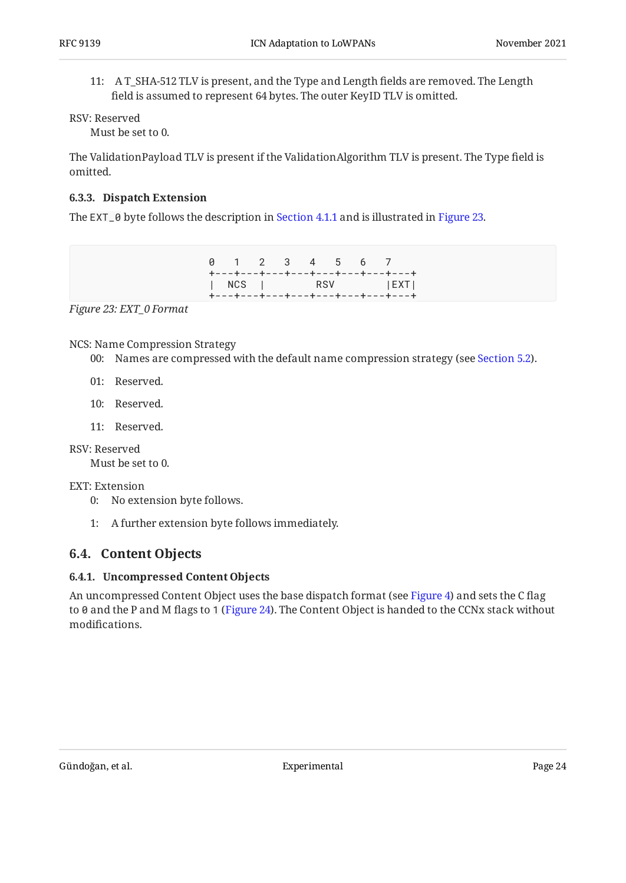11: A T\_SHA-512 TLV is present, and the Type and Length fields are removed. The Length field is assumed to represent 64 bytes. The outer KeyID TLV is omitted.

RSV: Reserved

Must be set to 0.

The ValidationPayload TLV is present if the ValidationAlgorithm TLV is present. The Type field is omitted.

#### <span id="page-23-0"></span>**[6.3.3. Dispatch Extension](#page-23-0)**

<span id="page-23-3"></span>The EXT\_0 byte follows the description in [Section 4.1.1](#page-9-0) and is illustrated in [Figure 23.](#page-23-3)

|  | 0 1 2 3 4 5 6 7 |  |  |                                  |
|--|-----------------|--|--|----------------------------------|
|  |                 |  |  | +---+---+---+---+---+---+---+--- |
|  |                 |  |  | NCS   RSV   EXT                  |
|  |                 |  |  | +---+---+---+---+---+---+---+--- |

*[Figure 23: EXT\\_0 Format](#page-23-3)* 

#### NCS: Name Compression Strategy

- 00: Names are compressed with the default name compression strategy (see [Section 5.2](#page-12-0)).
- 01: Reserved.
- 10: Reserved.
- 11: Reserved.
- RSV: Reserved

Must be set to 0.

#### EXT: Extension

- 0: No extension byte follows.
- 1: A further extension byte follows immediately.

### <span id="page-23-2"></span><span id="page-23-1"></span>**[6.4. Content Objects](#page-23-1)**

#### **[6.4.1. Uncompressed Content Objects](#page-23-2)**

<span id="page-23-4"></span>An uncompressed Content Object uses the base dispatch format (see [Figure 4\)](#page-8-0) and sets the C flag to 0 and the P and M flags to 1 [\(Figure 24](#page-24-1)). The Content Object is handed to the CCNx stack without modifications.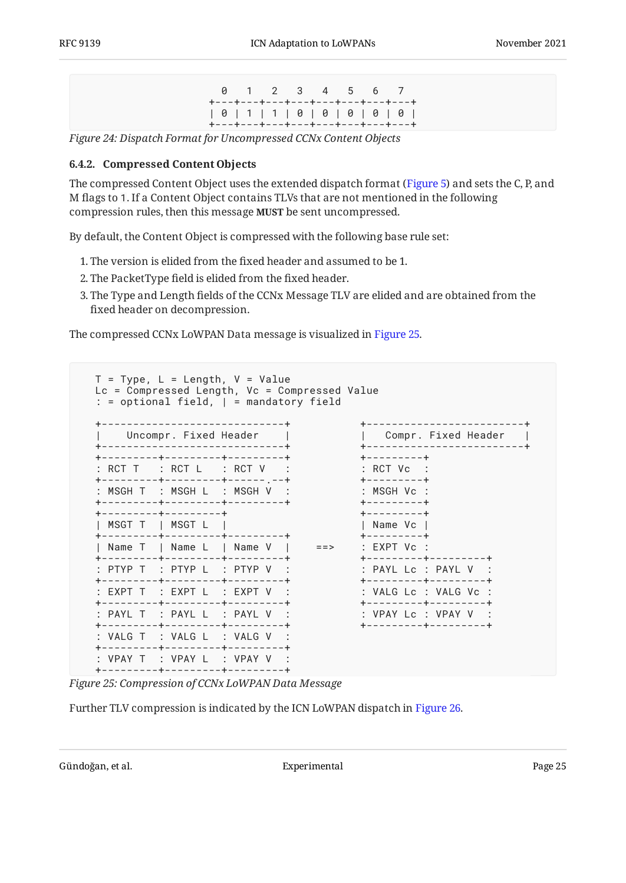0 1 2 3 4 5 6 7 +---+---+---+---+---+---+---+---+ | 0 | 1 | 1 | 0 | 0 | 0 | 0 | 0 | +---+---+---+---+---+---+---+---+

<span id="page-24-1"></span><span id="page-24-0"></span>*[Figure 24:](#page-24-1) [Dispatch Format for Uncompressed CCNx Content Objects](#page-23-4)* 

#### **[6.4.2. Compressed Content Objects](#page-24-0)**

The compressed Content Object uses the extended dispatch format ([Figure 5\)](#page-8-1) and sets the C, P, and M flags to 1. If a Content Object contains TLVs that are not mentioned in the following compression rules, then this message **MUST** be sent uncompressed.

By default, the Content Object is compressed with the following base rule set:

- The version is elided from the fixed header and assumed to be 1. 1.
- 2. The PacketType field is elided from the fixed header.  $\,$
- 3. The Type and Length fields of the CCNx Message TLV are elided and are obtained from the fixed header on decompression.

<span id="page-24-2"></span>The compressed CCNx LoWPAN Data message is visualized in [Figure 25.](#page-24-2)

| T = Type, L = Length, V = Value<br>$:$ = optional field, $ $ = mandatory field |                                       |                                                                                             | $Lc = Compressed Length, Vc = Compressed Value$ |                                             |                                                                      |  |
|--------------------------------------------------------------------------------|---------------------------------------|---------------------------------------------------------------------------------------------|-------------------------------------------------|---------------------------------------------|----------------------------------------------------------------------|--|
|                                                                                | Uncompr. Fixed Header                 | -----------------------------<br>-----------------------------                              |                                                 |                                             | +-------------------------+<br>Compr. Fixed Header                   |  |
| : RCT T : RCT L : RCT V                                                        |                                       | --------+---------+--------+                                                                |                                                 | +---------+<br>$:$ RCT $Vc$ $:$             |                                                                      |  |
|                                                                                |                                       | ---------+---------+----- ---+<br>MSGH T : MSGH I : MSGH V :<br>-------+---------+--------+ |                                                 | +---------+<br>$:$ MSGH Vc $:$<br>--------+ |                                                                      |  |
|                                                                                | --------+--------+<br>MSGT T   MSGT L |                                                                                             |                                                 | +---------+<br>Name Vc                      |                                                                      |  |
| Name T   Name L   Name V                                                       |                                       | -------+---------+--------+                                                                 | $=$ $\Rightarrow$                               | ---------+<br>$:$ EXPT Vc $:$               | ---------+--------+                                                  |  |
|                                                                                |                                       | PTYP T : PTYP L : PTYP V :                                                                  |                                                 |                                             | $:$ PAYL Lc $:$ PAYL V $:$                                           |  |
| : EXPT T : EXPT L : EXPT V :                                                   |                                       | -------+---------+--------+<br>--------+---------+--------+                                 |                                                 |                                             | --------+--------+<br>: VALG Lc : VALG Vc :<br>+---------+---------+ |  |
| : PAYL T : PAYL L : PAYL V :                                                   |                                       | --------+---------+--------+                                                                |                                                 |                                             | : VPAY Lc : VPAY V :<br>+---------+--------+                         |  |
| $:$ VAIG T $:$ VAIG I $:$ VAIG V $:$                                           |                                       | --------+---------+--------+                                                                |                                                 |                                             |                                                                      |  |
| : VPAY T : VPAY L : VPAY V :                                                   | -------- <b>+---------+-------</b> -  |                                                                                             |                                                 |                                             |                                                                      |  |

*[Figure 25: Compression of CCNx LoWPAN Data Message](#page-24-2)* 

<span id="page-24-3"></span>Further TLV compression is indicated by the ICN LoWPAN dispatch in [Figure 26.](#page-25-0)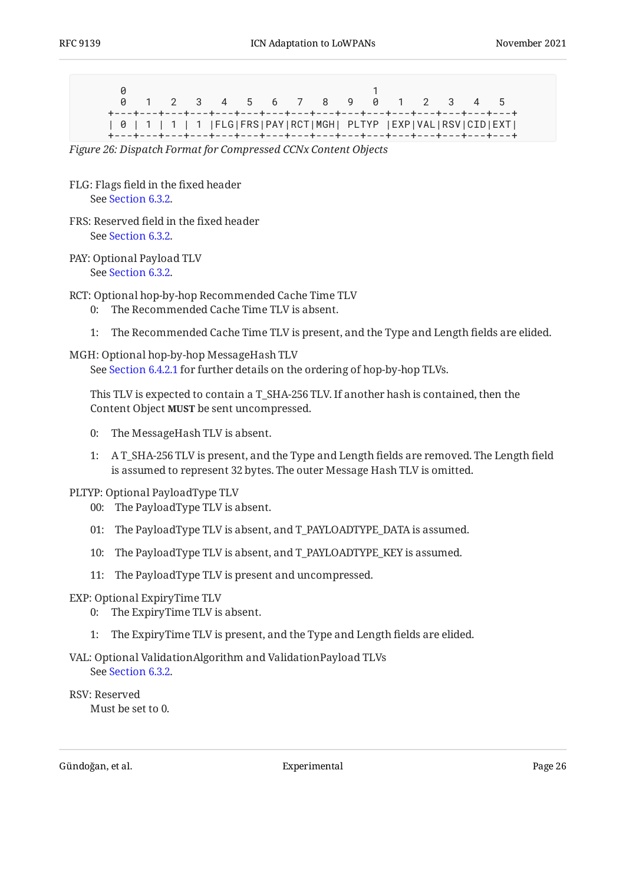<span id="page-25-0"></span>

|                                                                                                                                                                                                                                                                                                                          |  |  |  | 0 1 2 3 4 5 6 7 8 9 0 1 2 3 4 5 |  |  |  |  |
|--------------------------------------------------------------------------------------------------------------------------------------------------------------------------------------------------------------------------------------------------------------------------------------------------------------------------|--|--|--|---------------------------------|--|--|--|--|
| 0   1   1   1   FLG FRS PAY RCT MGH  PLTYP  EXP VAL RSV CID EXT <br><b>★</b> ───★───★─── <del>★</del> ─── <del>★</del> ─── <del>★</del> ─── <del>★</del> ─── <del>★</del> ─── <del>★</del> ──── <del>★</del> ──── <del>★</del> ──── <del>★</del> ──── <del>★</del> ──── <del>★</del> ──── <del>★</del> ──── <del>★</del> |  |  |  |                                 |  |  |  |  |

*[Figure 26:](#page-25-0) [Dispatch Format for Compressed CCNx Content Objects](#page-24-3)* 

- FLG: Flags field in the fixed header See [Section 6.3.2.](#page-19-0)
- FRS: Reserved field in the fixed header See [Section 6.3.2.](#page-19-0)
- PAY: Optional Payload TLV See [Section 6.3.2.](#page-19-0)

RCT: Optional hop-by-hop Recommended Cache Time TLV

- 0: The Recommended Cache Time TLV is absent.
- 1: The Recommended Cache Time TLV is present, and the Type and Length fields are elided.

#### MGH: Optional hop-by-hop MessageHash TLV

See [Section 6.4.2.1](#page-26-1) for further details on the ordering of hop-by-hop TLVs.

This TLV is expected to contain a T\_SHA-256 TLV. If another hash is contained, then the Content Object **MUST** be sent uncompressed.

- 0: The MessageHash TLV is absent.
- 1: A T\_SHA-256 TLV is present, and the Type and Length fields are removed. The Length field is assumed to represent 32 bytes. The outer Message Hash TLV is omitted.

#### PLTYP: Optional PayloadType TLV

- 00: The PayloadType TLV is absent.
- 01: The PayloadType TLV is absent, and T\_PAYLOADTYPE\_DATA is assumed.
- 10: The PayloadType TLV is absent, and T\_PAYLOADTYPE\_KEY is assumed.
- 11: The PayloadType TLV is present and uncompressed.

#### EXP: Optional ExpiryTime TLV

- 0: The ExpiryTime TLV is absent.
- 1: The ExpiryTime TLV is present, and the Type and Length fields are elided.

#### VAL: Optional ValidationAlgorithm and ValidationPayload TLVs See [Section 6.3.2.](#page-19-0)

#### RSV: Reserved

Must be set to 0.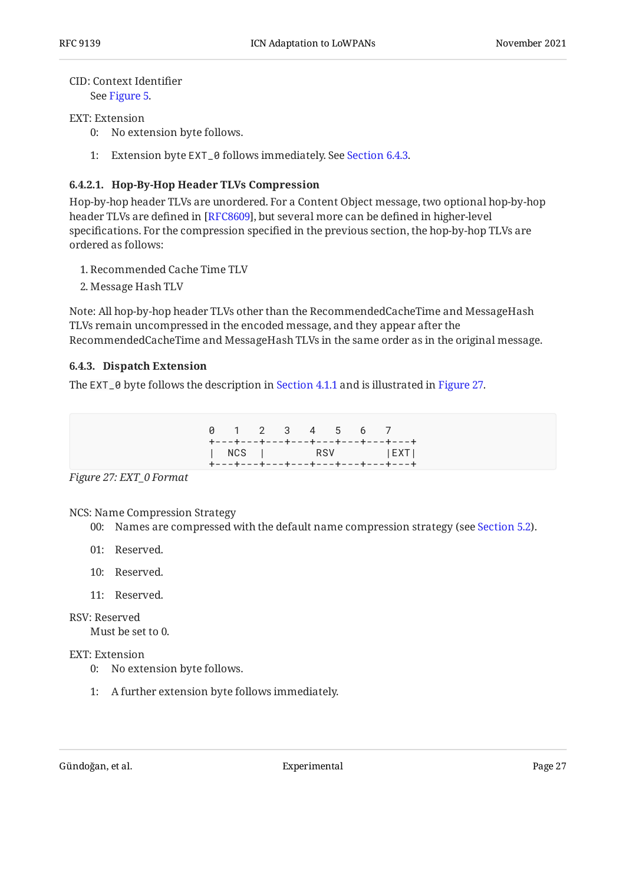#### CID: Context Identifier

See [Figure 5.](#page-8-1)

#### EXT: Extension

- 0: No extension byte follows.
- 1: Extension byte EXT\_0 follows immediately. See [Section 6.4.3.](#page-26-0)

#### <span id="page-26-1"></span>**[6.4.2.1. Hop-By-Hop Header TLVs Compression](#page-26-1)**

Hop-by-hop header TLVs are unordered. For a Content Object message, two optional hop-by-hop header TLVs are defined in [RFC8609], but several more can be defined in higher-level specifications. For the compression specified in the previous section, the hop-by-hop TLVs are ordered as follows:

- 1. Recommended Cache Time TLV
- 2. Message Hash TLV

Note: All hop-by-hop header TLVs other than the RecommendedCacheTime and MessageHash TLVs remain uncompressed in the encoded message, and they appear after the RecommendedCacheTime and MessageHash TLVs in the same order as in the original message.

#### <span id="page-26-0"></span>**[6.4.3. Dispatch Extension](#page-26-0)**

<span id="page-26-2"></span>The EXT\_0 byte follows the description in [Section 4.1.1](#page-9-0) and is illustrated in [Figure 27.](#page-26-2)

|  |  |  | 0 1 2 3 4 5 6 7                                                                            |
|--|--|--|--------------------------------------------------------------------------------------------|
|  |  |  | +---+---+---+---+---+---+---+---<br>  NCS   RSV   EXT <br>+---+---+---+---+---+---+---+--- |

*[Figure 27: EXT\\_0 Format](#page-26-2)* 

#### NCS: Name Compression Strategy

- 00: Names are compressed with the default name compression strategy (see [Section 5.2](#page-12-0)).
- 01: Reserved.
- 10: Reserved.
- 11: Reserved.

#### RSV: Reserved

Must be set to 0.

#### EXT: Extension

- 0: No extension byte follows.
- 1: A further extension byte follows immediately.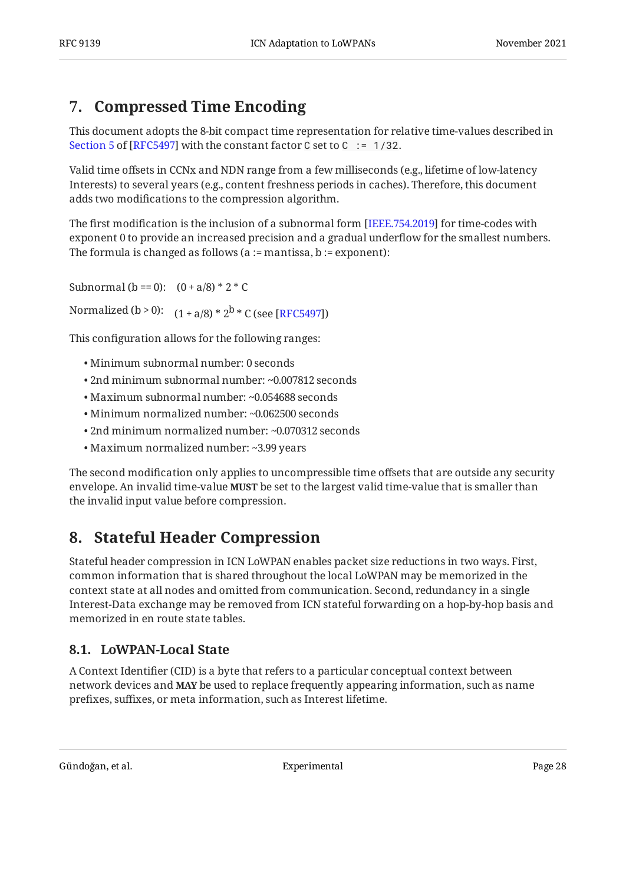# <span id="page-27-0"></span>**[7. Compressed Time Encoding](#page-27-0)**

This document adopts the 8-bit compact time representation for relative time-values described in [Section 5](https://www.rfc-editor.org/rfc/rfc5497#section-5) of [[RFC5497\]](#page-33-10) with the constant factor C set to C  $:= 1/32$ .

Valid time offsets in CCNx and NDN range from a few milliseconds (e.g., lifetime of low-latency Interests) to several years (e.g., content freshness periods in caches). Therefore, this document adds two modifications to the compression algorithm.

The first modification is the inclusion of a subnormal form [IEEE.754.2019] for time-codes with exponent 0 to provide an increased precision and a gradual underflow for the smallest numbers. The formula is changed as follows ( $a :=$  mantissa,  $b :=$  exponent):

Subnormal (b == 0):  $(0 + a/8) * 2 * C$ 

Normalized (b > 0):  $(1 + a/8) * 2^b * C$  (see [RFC5497])

This configuration allows for the following ranges:

- Minimum subnormal number: 0 seconds •
- 2nd minimum subnormal number: ~0.007812 seconds •
- Maximum subnormal number: ~0.054688 seconds •
- Minimum normalized number: ~0.062500 seconds
- 2nd minimum normalized number: ~0.070312 seconds •
- Maximum normalized number: ~3.99 years •

The second modification only applies to uncompressible time offsets that are outside any security envelope. An invalid time-value **MUST** be set to the largest valid time-value that is smaller than the invalid input value before compression.

# <span id="page-27-1"></span>**[8. Stateful Header Compression](#page-27-1)**

Stateful header compression in ICN LoWPAN enables packet size reductions in two ways. First, common information that is shared throughout the local LoWPAN may be memorized in the context state at all nodes and omitted from communication. Second, redundancy in a single Interest-Data exchange may be removed from ICN stateful forwarding on a hop-by-hop basis and memorized in en route state tables.

## <span id="page-27-2"></span>**[8.1. LoWPAN-Local State](#page-27-2)**

<span id="page-27-3"></span>A Context Identifier (CID) is a byte that refers to a particular conceptual context between network devices and **MAY** be used to replace frequently appearing information, such as name prefixes, suffixes, or meta information, such as Interest lifetime.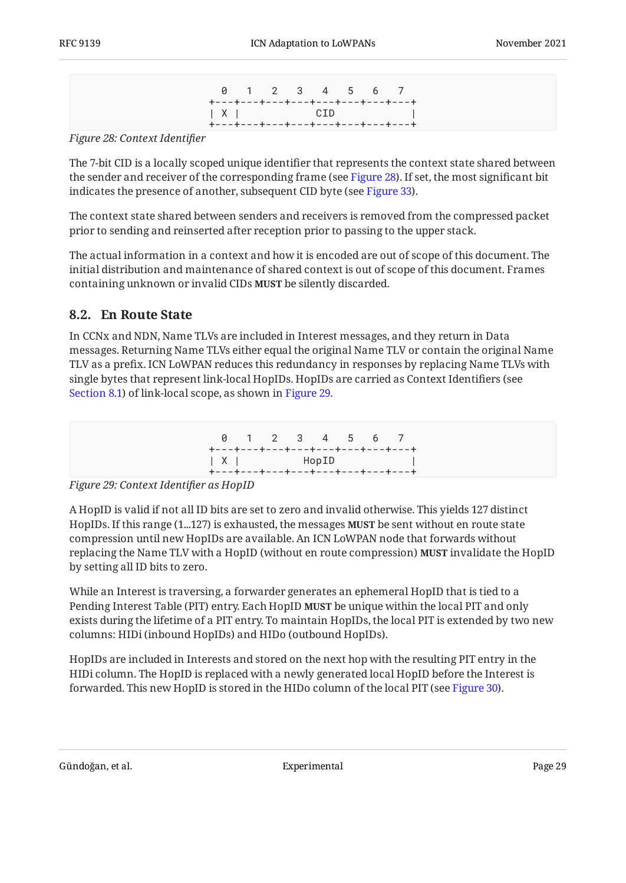| 0 1 2 3 4 5 6 7                     |  |  |  |  |
|-------------------------------------|--|--|--|--|
| +---+---+---+---+---+---+---+---+-- |  |  |  |  |
| $ X $ CID $ $                       |  |  |  |  |
| +---+---+---+---+---+---+---+---    |  |  |  |  |

<span id="page-28-1"></span>*[Figure 28:](#page-28-1) [Context Identi](#page-27-3)fier* 

The 7-bit CID is a locally scoped unique identifier that represents the context state shared between the sender and receiver of the corresponding frame (see [Figure 28\)](#page-28-1). If set, the most significant bit indicates the presence of another, subsequent CID byte (see [Figure 33\)](#page-30-3).

The context state shared between senders and receivers is removed from the compressed packet prior to sending and reinserted after reception prior to passing to the upper stack.

The actual information in a context and how it is encoded are out of scope of this document. The initial distribution and maintenance of shared context is out of scope of this document. Frames containing unknown or invalid CIDs **MUST** be silently discarded.

### <span id="page-28-0"></span>**[8.2. En Route State](#page-28-0)**

In CCNx and NDN, Name TLVs are included in Interest messages, and they return in Data messages. Returning Name TLVs either equal the original Name TLV or contain the original Name TLV as a prefix. ICN LoWPAN reduces this redundancy in responses by replacing Name TLVs with single bytes that represent link-local HopIDs. HopIDs are carried as Context Identifiers (see [Section 8.1](#page-27-2)) of link-local scope, as shown in [Figure 29](#page-28-2).

<span id="page-28-2"></span>

*[Figure 29: Context Identi](#page-28-2)fier as HopID* 

A HopID is valid if not all ID bits are set to zero and invalid otherwise. This yields 127 distinct HopIDs. If this range (1…127) is exhausted, the messages **MUST** be sent without en route state compression until new HopIDs are available. An ICN LoWPAN node that forwards without replacing the Name TLV with a HopID (without en route compression) invalidate the HopID **MUST** by setting all ID bits to zero.

While an Interest is traversing, a forwarder generates an ephemeral HopID that is tied to a Pending Interest Table (PIT) entry. Each HopID **MUST** be unique within the local PIT and only exists during the lifetime of a PIT entry. To maintain HopIDs, the local PIT is extended by two new columns: HIDi (inbound HopIDs) and HIDo (outbound HopIDs).

<span id="page-28-3"></span>HopIDs are included in Interests and stored on the next hop with the resulting PIT entry in the HIDi column. The HopID is replaced with a newly generated local HopID before the Interest is forwarded. This new HopID is stored in the HIDo column of the local PIT (see [Figure 30](#page-29-1)).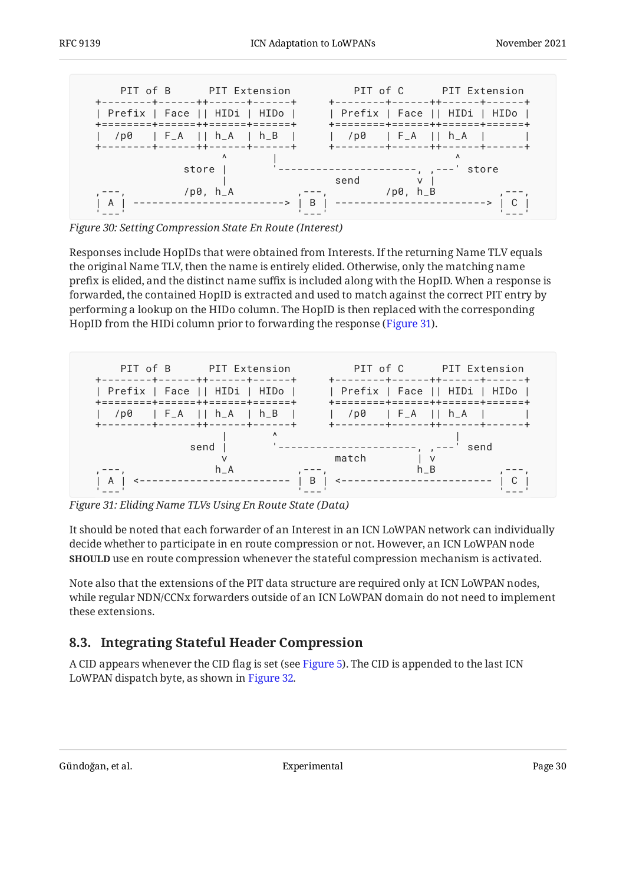<span id="page-29-1"></span>

*[Figure 30:](#page-29-1) [Setting Compression State En Route \(Interest\)](#page-28-3)* 

Responses include HopIDs that were obtained from Interests. If the returning Name TLV equals the original Name TLV, then the name is entirely elided. Otherwise, only the matching name prefix is elided, and the distinct name suffix is included along with the HopID. When a response is forwarded, the contained HopID is extracted and used to match against the correct PIT entry by performing a lookup on the HIDo column. The HopID is then replaced with the corresponding HopID from the HIDi column prior to forwarding the response [\(Figure 31](#page-29-2)).

<span id="page-29-2"></span>

*[Figure 31: Eliding Name TLVs Using En Route State \(Data\)](#page-29-2)* 

It should be noted that each forwarder of an Interest in an ICN LoWPAN network can individually decide whether to participate in en route compression or not. However, an ICN LoWPAN node **SHOULD** use en route compression whenever the stateful compression mechanism is activated.

Note also that the extensions of the PIT data structure are required only at ICN LoWPAN nodes, while regular NDN/CCNx forwarders outside of an ICN LoWPAN domain do not need to implement these extensions.

## <span id="page-29-0"></span>**[8.3. Integrating Stateful Header Compression](#page-29-0)**

<span id="page-29-3"></span>A CID appears whenever the CID flag is set (see [Figure 5\)](#page-8-1). The CID is appended to the last ICN LoWPAN dispatch byte, as shown in [Figure 32.](#page-30-4)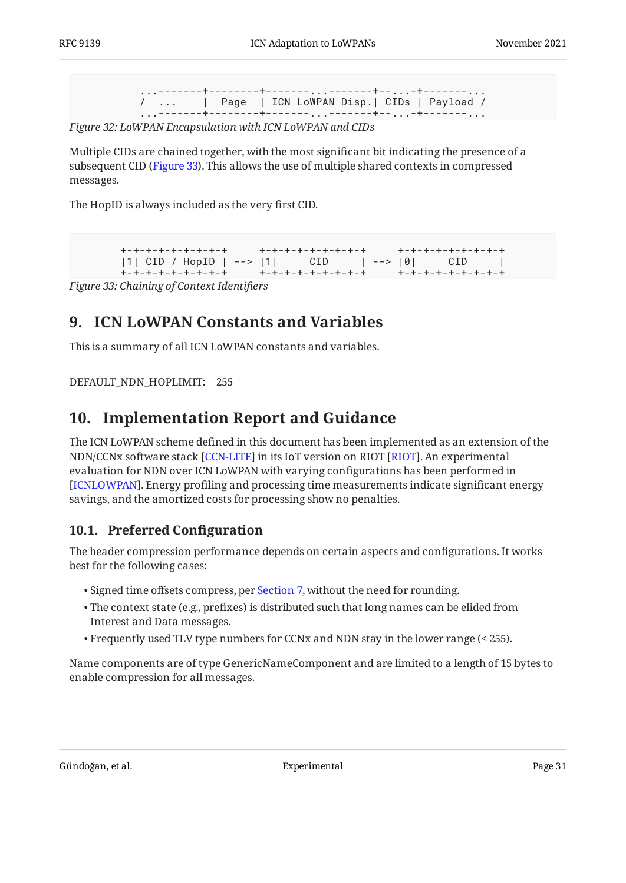...-------+--------+-------...-------+--...-+-------... / ... | Page | ICN LoWPAN Disp.| CIDs | Payload / --+---------+---------<sub>...</sub>.-------+--<sub>...</sub>...

<span id="page-30-4"></span>*[Figure 32:](#page-30-4) [LoWPAN Encapsulation with ICN LoWPAN and CIDs](#page-29-3)* 

Multiple CIDs are chained together, with the most significant bit indicating the presence of a subsequent CID [\(Figure 33](#page-30-3)). This allows the use of multiple shared contexts in compressed messages.

<span id="page-30-3"></span>The HopID is always included as the very first CID.

+-+-+-+-+-+-+-+-+ +-+-+-+-+-+-+-+-+ +-+-+-+-+-+-+-+-+ |1| CID / HopID | --> |1| CID | --> |0| CID | +-+-+-+-+-+-+-+-+ +-+-+-+-+-+-+-+-+ +-+-+-+-+-+-+-+-+

<span id="page-30-0"></span>*[Figure 33: Chaining of Context Identi](#page-30-3)fiers* 

## **[9. ICN LoWPAN Constants and Variables](#page-30-0)**

This is a summary of all ICN LoWPAN constants and variables.

<span id="page-30-1"></span>DEFAULT\_NDN\_HOPLIMIT: 255

## **[10. Implementation Report and Guidance](#page-30-1)**

The ICN LoWPAN scheme defined in this document has been implemented as an extension of the NDN/CCNx software stack [[CCN-LITE](#page-33-12)] in its IoT version on RIOT [RIOT]. An experimental evaluation for NDN over ICN LoWPAN with varying configurations has been performed in . Energy profiling and processing time measurements indicate significant energy [[ICNLOWPAN\]](#page-33-6) savings, and the amortized costs for processing show no penalties.

## <span id="page-30-2"></span>**[10.1. Preferred Con](#page-30-2)figuration**

The header compression performance depends on certain aspects and configurations. It works best for the following cases:

- Signed time offsets compress, per [Section 7,](#page-27-0) without the need for rounding.
- The context state (e.g., prefixes) is distributed such that long names can be elided from Interest and Data messages.
- Frequently used TLV type numbers for CCNx and NDN stay in the lower range (< 255). •

Name components are of type GenericNameComponent and are limited to a length of 15 bytes to enable compression for all messages.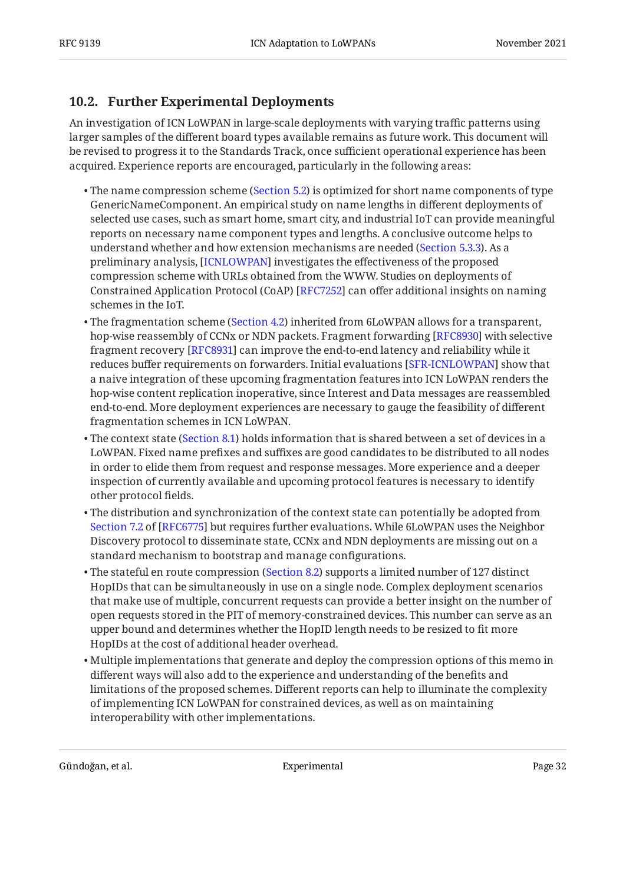## <span id="page-31-0"></span>**[10.2. Further Experimental Deployments](#page-31-0)**

An investigation of ICN LoWPAN in large-scale deployments with varying traffic patterns using larger samples of the different board types available remains as future work. This document will be revised to progress it to the Standards Track, once sufficient operational experience has been acquired. Experience reports are encouraged, particularly in the following areas:

- $\bullet$  The name compression scheme ([Section 5.2](#page-12-0)) is optimized for short name components of type GenericNameComponent. An empirical study on name lengths in different deployments of selected use cases, such as smart home, smart city, and industrial IoT can provide meaningful reports on necessary name component types and lengths. A conclusive outcome helps to understand whether and how extension mechanisms are needed [\(Section 5.3.3](#page-15-0)). As a preliminary analysis, [[ICNLOWPAN\]](#page-33-6) investigates the effectiveness of the proposed compression scheme with URLs obtained from the WWW. Studies on deployments of Constrained Application Protocol (CoAP) [RFC7252] can offer additional insights on naming schemes in the IoT.
- $\bullet$  The fragmentation scheme ([Section 4.2](#page-9-1)) inherited from 6LoWPAN allows for a transparent, hop-wise reassembly of CCNx or NDN packets. Fragment forwarding [RFC8930] with selective fragment recovery [[RFC8931\]](#page-35-7) can improve the end-to-end latency and reliability while it reduces buffer requirements on forwarders. Initial evaluations [SFR-ICNLOWPAN] show that a naive integration of these upcoming fragmentation features into ICN LoWPAN renders the hop-wise content replication inoperative, since Interest and Data messages are reassembled end-to-end. More deployment experiences are necessary to gauge the feasibility of different fragmentation schemes in ICN LoWPAN.
- $\bullet$  The context state ([Section 8.1\)](#page-27-2) holds information that is shared between a set of devices in a LoWPAN. Fixed name prefixes and suffixes are good candidates to be distributed to all nodes in order to elide them from request and response messages. More experience and a deeper inspection of currently available and upcoming protocol features is necessary to identify other protocol fields.
- $\bullet$  The distribution and synchronization of the context state can potentially be adopted from [Section 7.2](https://www.rfc-editor.org/rfc/rfc6775#section-7.2) of [\[RFC6775\]](#page-33-13) but requires further evaluations. While 6LoWPAN uses the Neighbor Discovery protocol to disseminate state, CCNx and NDN deployments are missing out on a standard mechanism to bootstrap and manage configurations.
- $\bullet$  The stateful en route compression ([Section 8.2](#page-28-0)) supports a limited number of 127 distinct HopIDs that can be simultaneously in use on a single node. Complex deployment scenarios that make use of multiple, concurrent requests can provide a better insight on the number of open requests stored in the PIT of memory-constrained devices. This number can serve as an upper bound and determines whether the HopID length needs to be resized to fit more HopIDs at the cost of additional header overhead.
- $\bullet$  Multiple implementations that generate and deploy the compression options of this memo in different ways will also add to the experience and understanding of the benefits and limitations of the proposed schemes. Different reports can help to illuminate the complexity of implementing ICN LoWPAN for constrained devices, as well as on maintaining interoperability with other implementations.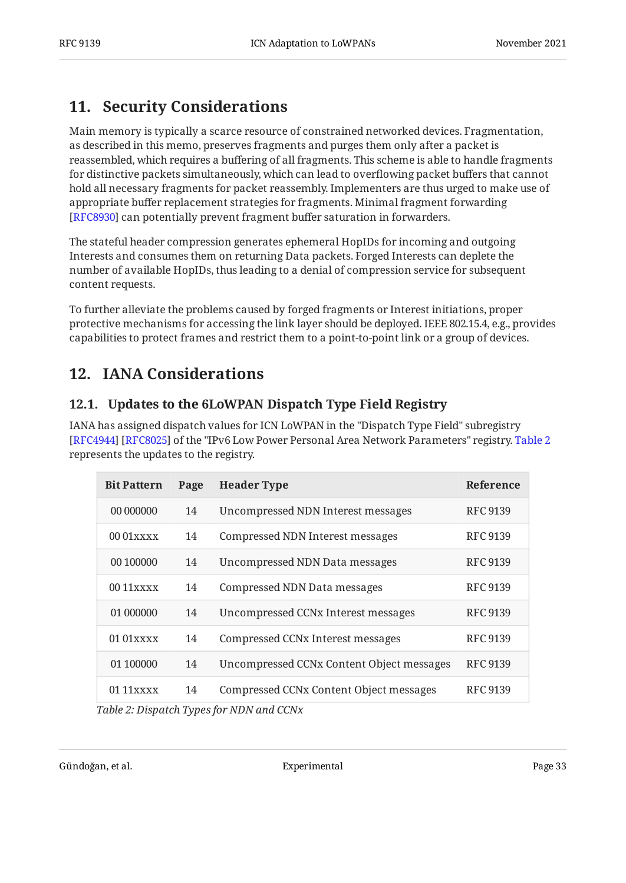# <span id="page-32-0"></span>**[11. Security Considerations](#page-32-0)**

Main memory is typically a scarce resource of constrained networked devices. Fragmentation, as described in this memo, preserves fragments and purges them only after a packet is reassembled, which requires a buffering of all fragments. This scheme is able to handle fragments for distinctive packets simultaneously, which can lead to overflowing packet buffers that cannot hold all necessary fragments for packet reassembly. Implementers are thus urged to make use of appropriate buffer replacement strategies for fragments. Minimal fragment forwarding [[RFC8930\]](#page-35-4) can potentially prevent fragment buffer saturation in forwarders.

The stateful header compression generates ephemeral HopIDs for incoming and outgoing Interests and consumes them on returning Data packets. Forged Interests can deplete the number of available HopIDs, thus leading to a denial of compression service for subsequent content requests.

To further alleviate the problems caused by forged fragments or Interest initiations, proper protective mechanisms for accessing the link layer should be deployed. IEEE 802.15.4, e.g., provides capabilities to protect frames and restrict them to a point-to-point link or a group of devices.

# <span id="page-32-2"></span><span id="page-32-1"></span>**[12. IANA Considerations](#page-32-1)**

## **[12.1. Updates to the 6LoWPAN Dispatch Type Field Registry](#page-32-2)**

IANA has assigned dispatch values for ICN LoWPAN in the "Dispatch Type Field" subregistry [RFC4944] [RFC8025] of the "IPv6 Low Power Personal Area Network Parameters" registry. [Table 2](#page-32-3) represents the updates to the registry.

<span id="page-32-4"></span><span id="page-32-3"></span>

| <b>Bit Pattern</b>     | Page | <b>Header Type</b>                        | <b>Reference</b> |
|------------------------|------|-------------------------------------------|------------------|
| 00 000000              | 14   | Uncompressed NDN Interest messages        | <b>RFC 9139</b>  |
| $0001$ x x x x         | 14   | <b>Compressed NDN Interest messages</b>   | <b>RFC 9139</b>  |
| 00 100000              | 14   | Uncompressed NDN Data messages            | RFC 9139         |
| $0011$ x x x x         | 14   | <b>Compressed NDN Data messages</b>       | RFC 9139         |
| 01 000000              | 14   | Uncompressed CCNx Interest messages       | RFC 9139         |
| $0101$ $x$ $x$ $x$ $x$ | 14   | Compressed CCNx Interest messages         | <b>RFC 9139</b>  |
| 01 100000              | 14   | Uncompressed CCNx Content Object messages | <b>RFC 9139</b>  |
| $0111$ xxxx            | 14   | Compressed CCNx Content Object messages   | RFC 9139         |

*[Table 2:](#page-32-4) [Dispatch Types for NDN and CCNx](#page-32-3)*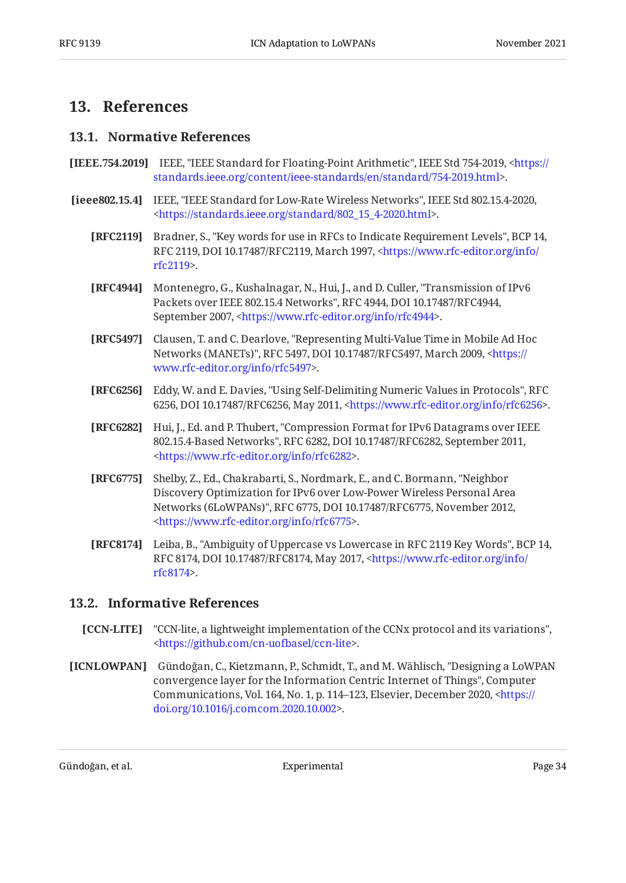## <span id="page-33-1"></span><span id="page-33-0"></span>**[13. References](#page-33-0)**

#### **[13.1. Normative References](#page-33-1)**

- <span id="page-33-11"></span>**[IEEE.754.2019]** IEEE, "IEEE Standard for Floating-Point Arithmetic", IEEE Std 754-2019, [<https://](https://standards.ieee.org/content/ieee-standards/en/standard/754-2019.html) . [standards.ieee.org/content/ieee-standards/en/standard/754-2019.html](https://standards.ieee.org/content/ieee-standards/en/standard/754-2019.html)>
- <span id="page-33-10"></span><span id="page-33-9"></span><span id="page-33-7"></span><span id="page-33-4"></span><span id="page-33-3"></span>**[ieee802.15.4]** IEEE, "IEEE Standard for Low-Rate Wireless Networks", IEEE Std 802.15.4-2020, . [<https://standards.ieee.org/standard/802\\_15\\_4-2020.html>](https://standards.ieee.org/standard/802_15_4-2020.html)
	- **[RFC2119]** Bradner, S., "Key words for use in RFCs to Indicate Requirement Levels", BCP 14, RFC 2119, DOI 10.17487/RFC2119, March 1997, [<https://www.rfc-editor.org/info/](https://www.rfc-editor.org/info/rfc2119) . [rfc2119](https://www.rfc-editor.org/info/rfc2119)>
	- **[RFC4944]** Montenegro, G., Kushalnagar, N., Hui, J., and D. Culler, "Transmission of IPv6 Packets over IEEE 802.15.4 Networks", RFC 4944, DOI 10.17487/RFC4944, September 2007, [<https://www.rfc-editor.org/info/rfc4944>](https://www.rfc-editor.org/info/rfc4944).
	- **[RFC5497]** Clausen, T. and C. Dearlove, "Representing Multi-Value Time in Mobile Ad Hoc Networks (MANETs)", RFC 5497, DOI 10.17487/RFC5497, March 2009, [<https://](https://www.rfc-editor.org/info/rfc5497) . [www.rfc-editor.org/info/rfc5497>](https://www.rfc-editor.org/info/rfc5497)
	- **[RFC6256]** Eddy, W. and E. Davies, "Using Self-Delimiting Numeric Values in Protocols", RFC 6256, DOI 10.17487/RFC6256, May 2011, <https://www.rfc-editor.org/info/rfc6256>.
	- **[RFC6282]** Hui, J., Ed. and P. Thubert, "Compression Format for IPv6 Datagrams over IEEE 802.15.4-Based Networks", RFC 6282, DOI 10.17487/RFC6282, September 2011, . [<https://www.rfc-editor.org/info/rfc6282](https://www.rfc-editor.org/info/rfc6282)>
	- **[RFC6775]** Shelby, Z., Ed., Chakrabarti, S., Nordmark, E., and C. Bormann, "Neighbor Networks (6LoWPANs)", RFC 6775, DOI 10.17487/RFC6775, November 2012, . [<https://www.rfc-editor.org/info/rfc6775](https://www.rfc-editor.org/info/rfc6775)> Discovery Optimization for IPv6 over Low-Power Wireless Personal Area
	- **[RFC8174]** Leiba, B., "Ambiguity of Uppercase vs Lowercase in RFC 2119 Key Words", BCP 14, RFC 8174, DOI 10.17487/RFC8174, May 2017, <[https://www.rfc-editor.org/info/](https://www.rfc-editor.org/info/rfc8174) . [rfc8174](https://www.rfc-editor.org/info/rfc8174)>

### <span id="page-33-13"></span><span id="page-33-8"></span><span id="page-33-5"></span><span id="page-33-2"></span>**[13.2. Informative References](#page-33-2)**

- <span id="page-33-12"></span>**[CCN-LITE]** "CCN-lite, a lightweight implementation of the CCNx protocol and its variations", . [<https://github.com/cn-uofbasel/ccn-lite](https://github.com/cn-uofbasel/ccn-lite)>
- <span id="page-33-6"></span>**[ICNLOWPAN]** Gündoğan, C., Kietzmann, P., Schmidt, T., and M. Wählisch, "Designing a LoWPAN , convergence layer for the Information Centric Internet of Things" Computer Communications, Vol. 164, No. 1, p. 114–123, Elsevier, December 2020, [<https://](https://doi.org/10.1016/j.comcom.2020.10.002) . [doi.org/10.1016/j.comcom.2020.10.002>](https://doi.org/10.1016/j.comcom.2020.10.002)

Gündoğan, et al. Experimental Page 34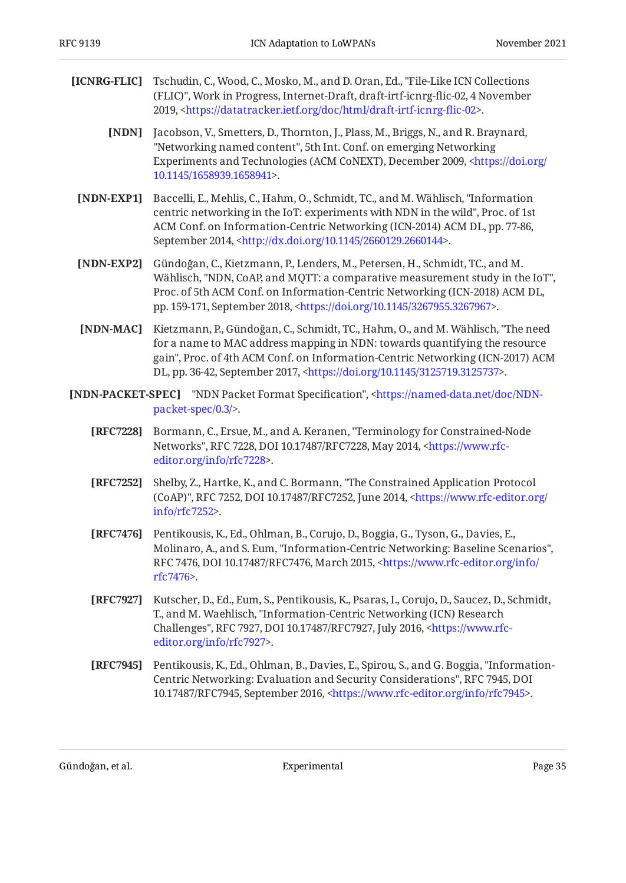- <span id="page-34-8"></span><span id="page-34-3"></span><span id="page-34-0"></span>**[ICNRG-FLIC]** Tschudin, C., Wood, C., Mosko, M., and D. Oran, Ed., "File-Like ICN Collections (FLIC)", Work in Progress, Internet-Draft, draft-irtf-icnrg-flic-02, 4 November 2019, <https://datatracker.ietf.org/doc/html/draft-irtf-icnrg-flic-02>.
	- **[NDN]** Jacobson, V., Smetters, D., Thornton, J., Plass, M., Briggs, N., and R. Braynard, "Networking named content", 5th Int. Conf. on emerging Networking Experiments and Technologies (ACM CoNEXT), December 2009, [<https://doi.org/](https://doi.org/10.1145/1658939.1658941) . [10.1145/1658939.1658941](https://doi.org/10.1145/1658939.1658941)>
	- **[NDN-EXP1]** Baccelli, E., Mehlis, C., Hahm, O., Schmidt, TC., and M. Wählisch, "Information centric networking in the IoT: experiments with NDN in the wild", Proc. of 1st , ACM Conf. on Information-Centric Networking (ICN-2014) ACM DL, pp. 77-86 September 2014, <http://dx.doi.org/10.1145/2660129.2660144>.
	- **[NDN-EXP2]** Gündoğan, C., Kietzmann, P., Lenders, M., Petersen, H., Schmidt, TC., and M. Wählisch, "NDN, CoAP, and MQTT: a comparative measurement study in the IoT", pp. 159-171, September 2018, <https://doi.org/10.1145/3267955.3267967>. Proc. of 5th ACM Conf. on Information-Centric Networking (ICN-2018) ACM DL,
	- **[NDN-MAC]** Kietzmann, P., Gündoğan, C., Schmidt, TC., Hahm, O., and M. Wählisch, "The need gain", Proc. of 4th ACM Conf. on Information-Centric Networking (ICN-2017) ACM DL, pp. 36-42, September 2017, [<https://doi.org/10.1145/3125719.3125737>](https://doi.org/10.1145/3125719.3125737). for a name to MAC address mapping in NDN: towards quantifying the resource
- <span id="page-34-10"></span><span id="page-34-9"></span><span id="page-34-5"></span><span id="page-34-4"></span><span id="page-34-2"></span><span id="page-34-1"></span>**[NDN-PACKET-SPEC]** "NDN Packet Format Specification", [<https://named-data.net/doc/NDN-](https://named-data.net/doc/NDN-packet-spec/0.3/). [packet-spec/0.3/>](https://named-data.net/doc/NDN-packet-spec/0.3/)
	- **[RFC7228]** Bormann, C., Ersue, M., and A. Keranen, "Terminology for Constrained-Node Networks", RFC 7228, DOI 10.17487/RFC7228, May 2014, <[https://www.rfc-](https://www.rfc-editor.org/info/rfc7228). [editor.org/info/rfc7228](https://www.rfc-editor.org/info/rfc7228)>
	- **[RFC7252]** Shelby, Z., Hartke, K., and C. Bormann, "The Constrained Application Protocol (CoAP)", RFC 7252, DOI 10.17487/RFC7252, June 2014, [<https://www.rfc-editor.org/](https://www.rfc-editor.org/info/rfc7252) . [info/rfc7252>](https://www.rfc-editor.org/info/rfc7252)
	- **[RFC7476]** Pentikousis, K., Ed., Ohlman, B., Corujo, D., Boggia, G., Tyson, G., Davies, E., Molinaro, A., and S. Eum, "Information-Centric Networking: Baseline Scenarios", RFC 7476, DOI 10.17487/RFC7476, March 2015, [<https://www.rfc-editor.org/info/](https://www.rfc-editor.org/info/rfc7476) . [rfc7476](https://www.rfc-editor.org/info/rfc7476)>
	- **[RFC7927]** Kutscher, D., Ed., Eum, S., Pentikousis, K., Psaras, I., Corujo, D., Saucez, D., Schmidt, T., and M. Waehlisch, "Information-Centric Networking (ICN) Research Challenges", RFC 7927, DOI 10.17487/RFC7927, July 2016, <[https://www.rfc-](https://www.rfc-editor.org/info/rfc7927). [editor.org/info/rfc7927](https://www.rfc-editor.org/info/rfc7927)>
	- **[RFC7945]** Pentikousis, K., Ed., Ohlman, B., Davies, E., Spirou, S., and G. Boggia, "Information-Centric Networking: Evaluation and Security Considerations", RFC 7945, DOI 10.17487/RFC7945, September 2016, [<https://www.rfc-editor.org/info/rfc7945](https://www.rfc-editor.org/info/rfc7945)>.

<span id="page-34-7"></span><span id="page-34-6"></span>Gündoğan, et al. Experimental Page 35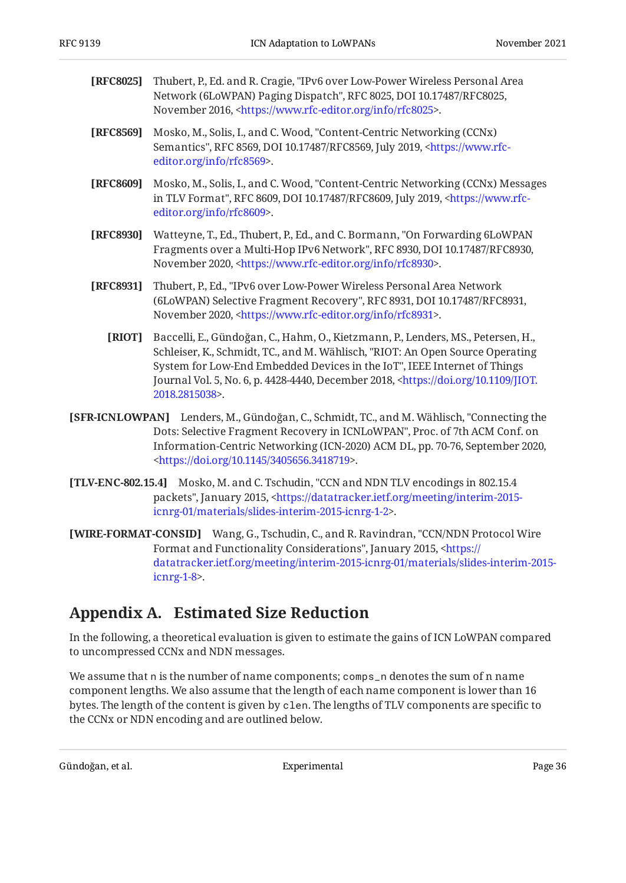- <span id="page-35-3"></span>**[RFC8025]** Thubert, P., Ed. and R. Cragie, "IPv6 over Low-Power Wireless Personal Area Network (6LoWPAN) Paging Dispatch", RFC 8025, DOI 10.17487/RFC8025, November 2016, [<https://www.rfc-editor.org/info/rfc8025](https://www.rfc-editor.org/info/rfc8025)>.
- <span id="page-35-1"></span>**[RFC8569]** Mosko, M., Solis, I., and C. Wood, "Content-Centric Networking (CCNx) Semantics", RFC 8569, DOI 10.17487/RFC8569, July 2019, [<https://www.rfc-](https://www.rfc-editor.org/info/rfc8569). [editor.org/info/rfc8569](https://www.rfc-editor.org/info/rfc8569)>
- <span id="page-35-2"></span>**[RFC8609]** Mosko, M., Solis, I., and C. Wood, "Content-Centric Networking (CCNx) Messages in TLV Format", RFC 8609, DOI 10.17487/RFC8609, July 2019, [<https://www.rfc-](https://www.rfc-editor.org/info/rfc8609). [editor.org/info/rfc8609](https://www.rfc-editor.org/info/rfc8609)>
- <span id="page-35-4"></span>**[RFC8930]** Watteyne, T., Ed., Thubert, P., Ed., and C. Bormann, "On Forwarding 6LoWPAN Fragments over a Multi-Hop IPv6 Network", RFC 8930, DOI 10.17487/RFC8930, November 2020, <https://www.rfc-editor.org/info/rfc8930>.
- <span id="page-35-7"></span><span id="page-35-6"></span>**[RFC8931]** , Thubert, P., Ed. "IPv6 over Low-Power Wireless Personal Area Network (6LoWPAN) Selective Fragment Recovery", RFC 8931, DOI 10.17487/RFC8931, November 2020, <https://www.rfc-editor.org/info/rfc8931>.
	- **[RIOT]** , , , , , , Baccelli, E. Gündoğan, C. Hahm, O. Kietzmann, P. Lenders, MS. Petersen, H. Schleiser, K., Schmidt, TC., and M. Wählisch, "RIOT: An Open Source Operating System for Low-End Embedded Devices in the IoT", IEEE Internet of Things Journal Vol. 5, No. 6, p. 4428-4440, December 2018, [<https://doi.org/10.1109/JIOT.](https://doi.org/10.1109/JIOT.2018.2815038) . [2018.2815038>](https://doi.org/10.1109/JIOT.2018.2815038)
- <span id="page-35-5"></span>**[SFR-ICNLOWPAN]** Lenders, M., Gündoğan, C., Schmidt, TC., and M. Wählisch, "Connecting the Dots: Selective Fragment Recovery in ICNLoWPAN", Proc. of 7th ACM Conf. on Information-Centric Networking (ICN-2020) ACM DL, pp. 70-76, September 2020, . [<https://doi.org/10.1145/3405656.3418719](https://doi.org/10.1145/3405656.3418719)>
- <span id="page-35-8"></span>**[TLV-ENC-802.15.4]** Mosko, M. and C. Tschudin, "CCN and NDN TLV encodings in 802.15.4 packets", January 2015, [<https://datatracker.ietf.org/meeting/interim-2015-](https://datatracker.ietf.org/meeting/interim-2015-icnrg-01/materials/slides-interim-2015-icnrg-1-2) . [icnrg-01/materials/slides-interim-2015-icnrg-1-2>](https://datatracker.ietf.org/meeting/interim-2015-icnrg-01/materials/slides-interim-2015-icnrg-1-2)
- <span id="page-35-9"></span>**[WIRE-FORMAT-CONSID]** Wang, G., Tschudin, C., and R. Ravindran, "CCN/NDN Protocol Wire Format and Functionality Considerations", January 2015, <<del>http</del>s:// . [icnrg-1-8](https://datatracker.ietf.org/meeting/interim-2015-icnrg-01/materials/slides-interim-2015-icnrg-1-8)> [datatracker.ietf.org/meeting/interim-2015-icnrg-01/materials/slides-interim-2015-](https://datatracker.ietf.org/meeting/interim-2015-icnrg-01/materials/slides-interim-2015-icnrg-1-8)

# <span id="page-35-0"></span>**[Appendix A. Estimated Size Reduction](#page-35-0)**

In the following, a theoretical evaluation is given to estimate the gains of ICN LoWPAN compared to uncompressed CCNx and NDN messages.

We assume that n is the number of name components; comps\_n denotes the sum of n name component lengths. We also assume that the length of each name component is lower than 16 bytes. The length of the content is given by clen. The lengths of TLV components are specific to the CCNx or NDN encoding and are outlined below.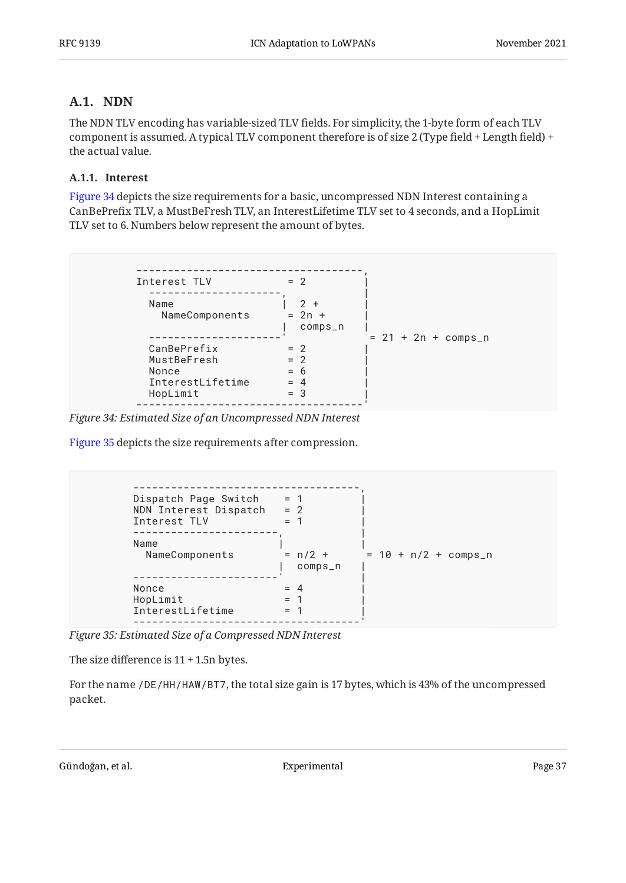## <span id="page-36-0"></span>**[A.1. NDN](#page-36-0)**

The NDN TLV encoding has variable-sized TLV fields. For simplicity, the 1-byte form of each TLV component is assumed. A typical TLV component therefore is of size 2 (Type field + Length field) + the actual value.

#### <span id="page-36-1"></span>**[A.1.1. Interest](#page-36-1)**

[Figure 34](#page-36-2) depicts the size requirements for a basic, uncompressed NDN Interest containing a CanBePrefix TLV, a MustBeFresh TLV, an InterestLifetime TLV set to 4 seconds, and a HopLimit TLV set to 6. Numbers below represent the amount of bytes.

<span id="page-36-2"></span>

*[Figure 34: Estimated Size of an Uncompressed NDN Interest](#page-36-2)* 

[Figure 35](#page-36-3) depicts the size requirements after compression.

```
------------------------------------,
Dispatch Page Switch = 1 |
NDN Interest Dispatch = 2 |
Interest TLV = 1
-----------------------, |
Name | NameComponents = n/2 + = 10 + n/2 + comps_n
 | comps_n |
-----------------------' |
Nonce = 4 |
HopLimit = 1 |
\begin{array}{rcl} \text{1} & = & 1 \\ \text{1} & = & 1 \end{array}------------------------------------'
```
*[Figure 35: Estimated Size of a Compressed NDN Interest](#page-36-3)* 

The size difference is 11 + 1.5n bytes.

For the name /DE/HH/HAW/BT7, the total size gain is 17 bytes, which is 43% of the uncompressed packet.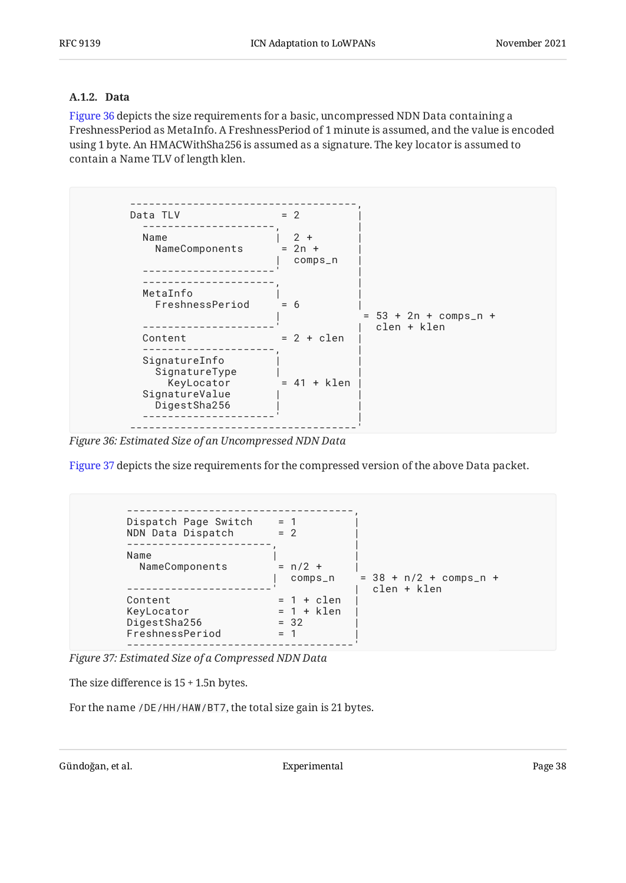#### <span id="page-37-0"></span>**[A.1.2. Data](#page-37-0)**

[Figure 36](#page-37-1) depicts the size requirements for a basic, uncompressed NDN Data containing a FreshnessPeriod as MetaInfo. A FreshnessPeriod of 1 minute is assumed, and the value is encoded using 1 byte. An HMACWithSha256 is assumed as a signature. The key locator is assumed to contain a Name TLV of length klen.

<span id="page-37-1"></span>![](_page_37_Figure_5.jpeg)

*[Figure 36: Estimated Size of an Uncompressed NDN Data](#page-37-1)* 

[Figure 37](#page-37-2) depicts the size requirements for the compressed version of the above Data packet.

```
------------------------------------,
Dispatch Page Switch = 1 |
NDN Data Dispatch = 2 |
-----------------------, |
Name |NameComponents = n/2 + |
 | comps_n = 38 + n/2 + comps_n +
-----------------------' | clen + klen
Content = 1 + clen |
KeyLocation = 1 + klen |
DigestSha256 = 32 |
FreshnessPeriod = 1 |
------------------------------------'
```
*[Figure 37: Estimated Size of a Compressed NDN Data](#page-37-2)* 

The size difference is 15 + 1.5n bytes.

For the name /DE/HH/HAW/BT7, the total size gain is 21 bytes.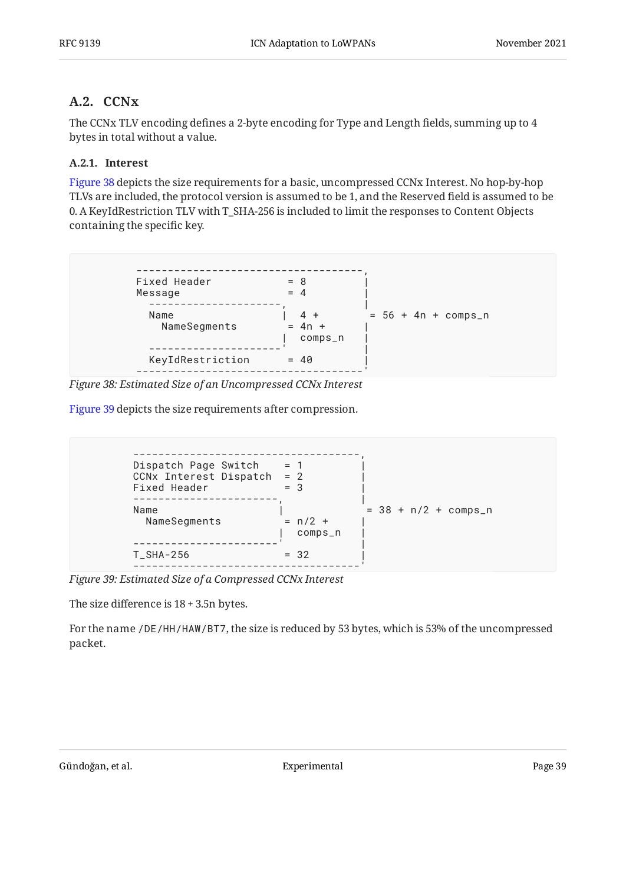## <span id="page-38-0"></span>**[A.2. CCNx](#page-38-0)**

The CCNx TLV encoding defines a 2-byte encoding for Type and Length fields, summing up to 4 bytes in total without a value.

#### <span id="page-38-1"></span>**[A.2.1. Interest](#page-38-1)**

[Figure 38](#page-38-2) depicts the size requirements for a basic, uncompressed CCNx Interest. No hop-by-hop TLVs are included, the protocol version is assumed to be 1, and the Reserved field is assumed to be 0. A KeyIdRestriction TLV with T\_SHA-256 is included to limit the responses to Content Objects containing the specific key.

<span id="page-38-2"></span>![](_page_38_Figure_7.jpeg)

*[Figure 38: Estimated Size of an Uncompressed CCNx Interest](#page-38-2)* 

[Figure 39](#page-38-3) depicts the size requirements after compression.

<span id="page-38-3"></span>![](_page_38_Figure_10.jpeg)

*[Figure 39: Estimated Size of a Compressed CCNx Interest](#page-38-3)* 

The size difference is 18 + 3.5n bytes.

For the name /DE/HH/HAW/BT7, the size is reduced by 53 bytes, which is 53% of the uncompressed packet.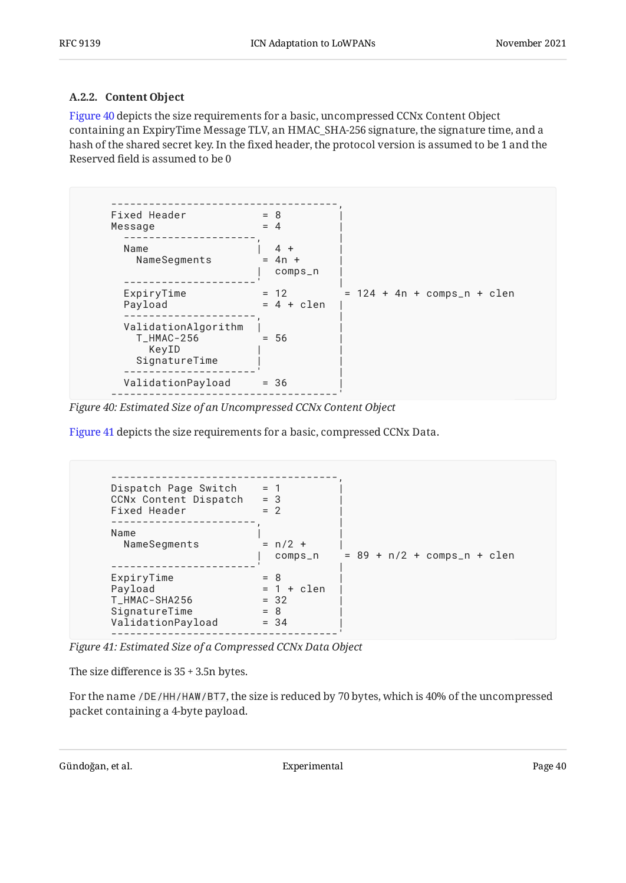#### <span id="page-39-0"></span>**[A.2.2. Content Object](#page-39-0)**

[Figure 40](#page-39-1) depicts the size requirements for a basic, uncompressed CCNx Content Object containing an ExpiryTime Message TLV, an HMAC\_SHA-256 signature, the signature time, and a hash of the shared secret key. In the fixed header, the protocol version is assumed to be 1 and the Reserved field is assumed to be 0

<span id="page-39-1"></span>![](_page_39_Figure_5.jpeg)

*[Figure 40: Estimated Size of an Uncompressed CCNx Content Object](#page-39-1)* 

<span id="page-39-2"></span>[Figure 41](#page-39-2) depicts the size requirements for a basic, compressed CCNx Data.

```
------------------------------------,
Dispatch Page Switch = 1 |
CCNx Content Dispatch = 3 |
Fixed Header = 2-----------------------, |
Name |NameSegments = n/2 + |
 | comps_n = 89 + n/2 + comps_n + clen
-----------------------' |
\begin{array}{ccc} \text{ExpiryTime} & = & 8 & | \end{array}Payload = 1 + clen |
T_HMAC-SHA256 = 32 |
SignatureTime = 8 |
ValidationPayload = 34 |
------------------------------------'
```
*[Figure 41: Estimated Size of a Compressed CCNx Data Object](#page-39-2)* 

The size difference is 35 + 3.5n bytes.

For the name /DE/HH/HAW/BT7, the size is reduced by 70 bytes, which is 40% of the uncompressed packet containing a 4-byte payload.

```
Gündoğan, et al. Experimental Experimental Page 40
```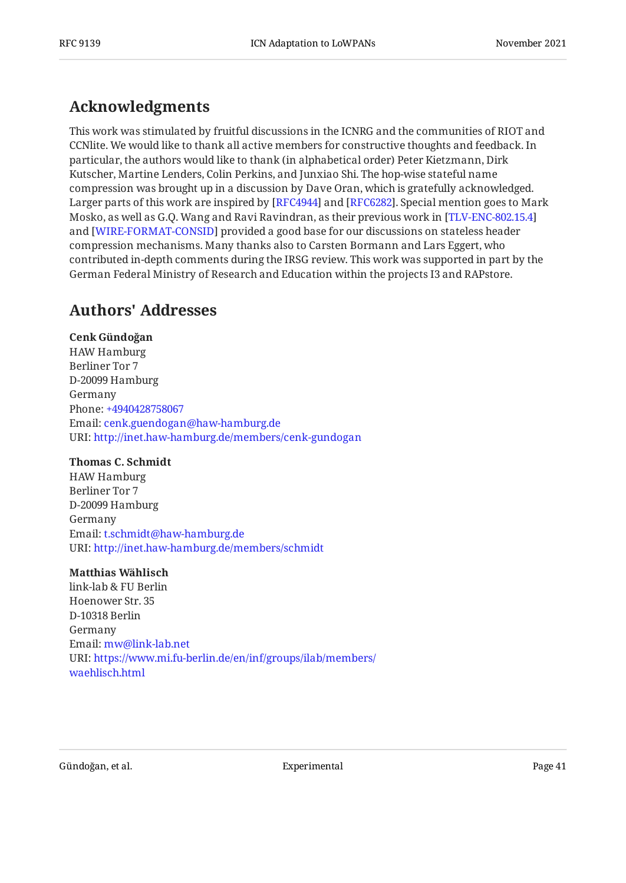# <span id="page-40-0"></span>**[Acknowledgments](#page-40-0)**

This work was stimulated by fruitful discussions in the ICNRG and the communities of RIOT and CCNlite. We would like to thank all active members for constructive thoughts and feedback. In particular, the authors would like to thank (in alphabetical order) Peter Kietzmann, Dirk Kutscher, Martine Lenders, Colin Perkins, and Junxiao Shi. The hop-wise stateful name compression was brought up in a discussion by Dave Oran, which is gratefully acknowledged. Larger parts of this work are inspired by [RFC4944] and [RFC6282]. Special mention goes to Mark Mosko, as well as G.Q. Wang and Ravi Ravindran, as their previous work in [[TLV-ENC-802.15.4\]](#page-35-8) and [WIRE-FORMAT-CONSID] provided a good base for our discussions on stateless header compression mechanisms. Many thanks also to Carsten Bormann and Lars Eggert, who contributed in-depth comments during the IRSG review. This work was supported in part by the German Federal Ministry of Research and Education within the projects I3 and RAPstore.

# <span id="page-40-1"></span>**[Authors' Addresses](#page-40-1)**

#### **Cenk Gündoğan**

HAW Hamburg Berliner Tor 7 D-20099 Hamburg Germany Phone: [+4940428758067](tel:+4940428758067) Email: [cenk.guendogan@haw-hamburg.de](mailto:cenk.guendogan@haw-hamburg.de) URI: <http://inet.haw-hamburg.de/members/cenk-gundogan>

#### **Thomas C. Schmidt**

HAW Hamburg Berliner Tor 7 D-20099 Hamburg Germany Email: [t.schmidt@haw-hamburg.de](mailto:t.schmidt@haw-hamburg.de) URI: <http://inet.haw-hamburg.de/members/schmidt>

#### **Matthias Wählisch**

link-lab & FU Berlin Hoenower Str. 35 D-10318 Berlin Germany Email: [mw@link-lab.net](mailto:mw@link-lab.net) URI: [https://www.mi.fu-berlin.de/en/inf/groups/ilab/members/](https://www.mi.fu-berlin.de/en/inf/groups/ilab/members/waehlisch.html) [waehlisch.html](https://www.mi.fu-berlin.de/en/inf/groups/ilab/members/waehlisch.html)